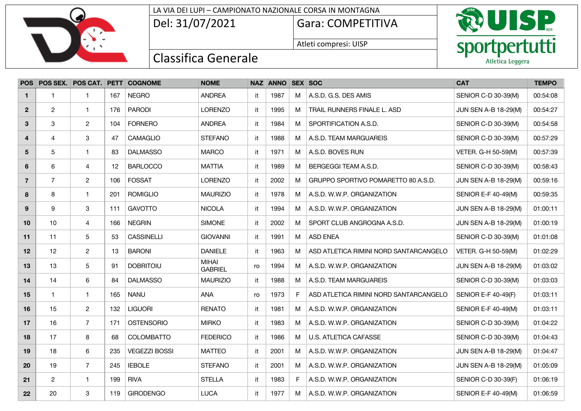

### LA VIA DEI LUPI – CAMPIONATO NAZIONALE CORSA IN MONTAGNA

Del: 31/07/2021 Gara: COMPETITIVA

Atleti compresi: UISP



| <b>POS</b>     |                |                         |     | POS SEX. POS CAT. PETT COGNOME | <b>NOME</b>                    |     | NAZ ANNO SEX SOC |    |                                        | <b>CAT</b>                  | <b>TEMPO</b> |
|----------------|----------------|-------------------------|-----|--------------------------------|--------------------------------|-----|------------------|----|----------------------------------------|-----------------------------|--------------|
| $\mathbf 1$    | 1              | -1                      | 167 | <b>NEGRO</b>                   | <b>ANDREA</b>                  | it  | 1987             | М  | A.S.D. G.S. DES AMIS                   | SENIOR C-D 30-39(M)         | 00:54:08     |
| $\mathbf{2}$   | $\overline{2}$ | $\overline{1}$          | 176 | <b>PARODI</b>                  | <b>LORENZO</b>                 | it. | 1995             | M  | TRAIL RUNNERS FINALE L. ASD            | <b>JUN SEN A-B 18-29(M)</b> | 00:54:27     |
| 3              | 3              | $\overline{2}$          | 104 | <b>FORNERO</b>                 | <b>ANDREA</b>                  | it  | 1984             | M  | SPORTIFICATION A.S.D.                  | SENIOR C-D 30-39(M)         | 00:54:58     |
| 4              | 4              | 3                       | 47  | <b>CAMAGLIO</b>                | <b>STEFANO</b>                 | it  | 1988             | M  | A.S.D. TEAM MARGUAREIS                 | SENIOR C-D 30-39(M)         | 00:57:29     |
| 5              | 5              | $\overline{1}$          | 83  | <b>DALMASSO</b>                | <b>MARCO</b>                   | it  | 1971             | M  | A.S.D. BOVES RUN                       | VETER. G-H 50-59(M)         | 00:57:39     |
| 6              | 6              | 4                       | 12  | <b>BARLOCCO</b>                | <b>MATTIA</b>                  | it  | 1989             | M  | BERGEGGI TEAM A.S.D.                   | SENIOR C-D 30-39(M)         | 00:58:43     |
| $\overline{7}$ | $\overline{7}$ | $\mathbf{2}$            | 106 | FOSSAT                         | <b>LORENZO</b>                 | it  | 2002             | M  | GRUPPO SPORTIVO POMARETTO 80 A.S.D.    | <b>JUN SEN A-B 18-29(M)</b> | 00:59:16     |
| 8              | 8              | $\mathbf 1$             | 201 | <b>ROMIGLIO</b>                | <b>MAURIZIO</b>                | it  | 1978             | M  | A.S.D. W.W.P. ORGANIZATION             | SENIOR E-F 40-49(M)         | 00:59:35     |
| 9              | 9              | 3                       | 111 | <b>GAVOTTO</b>                 | <b>NICOLA</b>                  | it. | 1994             | M  | A.S.D. W.W.P. ORGANIZATION             | <b>JUN SEN A-B 18-29(M)</b> | 01:00:11     |
| 10             | 10             | 4                       | 166 | <b>NEGRIN</b>                  | <b>SIMONE</b>                  | it  | 2002             | M  | SPORT CLUB ANGROGNA A.S.D.             | <b>JUN SEN A-B 18-29(M)</b> | 01:00:19     |
| 11             | 11             | 5                       | 53  | <b>CASSINELLI</b>              | <b>GIOVANNI</b>                | it  | 1991             | M  | <b>ASD ENEA</b>                        | SENIOR C-D 30-39(M)         | 01:01:08     |
| 12             | 12             | $\overline{c}$          | 13  | <b>BARONI</b>                  | <b>DANIELE</b>                 | it  | 1963             | M  | ASD ATLETICA RIMINI NORD SANTARCANGELO | VETER. G-H 50-59(M)         | 01:02:29     |
| 13             | 13             | 5                       | 91  | <b>DOBRITOIU</b>               | <b>MIHAI</b><br><b>GABRIEL</b> | ro  | 1994             | M  | A.S.D. W.W.P. ORGANIZATION             | <b>JUN SEN A-B 18-29(M)</b> | 01:03:02     |
| 14             | 14             | 6                       | 84  | <b>DALMASSO</b>                | <b>MAURIZIO</b>                | it  | 1988             | M  | A.S.D. TEAM MARGUAREIS                 | SENIOR C-D 30-39(M)         | 01:03:03     |
| 15             | $\mathbf{1}$   | $\overline{1}$          | 165 | <b>NANU</b>                    | <b>ANA</b>                     | ro  | 1973             | F. | ASD ATLETICA RIMINI NORD SANTARCANGELO | <b>SENIOR E-F 40-49(F)</b>  | 01:03:11     |
| 16             | 15             | $\overline{2}$          | 132 | <b>LIGUORI</b>                 | <b>RENATO</b>                  | it  | 1981             | M  | A.S.D. W.W.P. ORGANIZATION             | <b>SENIOR E-F 40-49(M)</b>  | 01:03:11     |
| 17             | 16             | $\overline{7}$          | 171 | <b>OSTENSORIO</b>              | <b>MIRKO</b>                   | it  | 1983             | M  | A.S.D. W.W.P. ORGANIZATION             | SENIOR C-D 30-39(M)         | 01:04:22     |
| 18             | 17             | 8                       | 68  | <b>COLOMBATTO</b>              | <b>FEDERICO</b>                | it  | 1986             | м  | <b>U.S. ATLETICA CAFASSE</b>           | SENIOR C-D 30-39(M)         | 01:04:43     |
| 19             | 18             | 6                       | 235 | <b>VEGEZZI BOSSI</b>           | <b>MATTEO</b>                  | it  | 2001             | М  | A.S.D. W.W.P. ORGANIZATION             | <b>JUN SEN A-B 18-29(M)</b> | 01:04:47     |
| 20             | 19             | $\overline{7}$          | 245 | <b>IEBOLE</b>                  | <b>STEFANO</b>                 | it  | 2001             | M  | A.S.D. W.W.P. ORGANIZATION             | <b>JUN SEN A-B 18-29(M)</b> | 01:05:09     |
| 21             | $\overline{c}$ | $\overline{\mathbf{1}}$ | 199 | <b>RIVA</b>                    | <b>STELLA</b>                  | it  | 1983             | F. | A.S.D. W.W.P. ORGANIZATION             | SENIOR C-D 30-39(F)         | 01:06:19     |
| 22             | 20             | 3                       | 119 | <b>GIRODENGO</b>               | <b>LUCA</b>                    | it  | 1977             | М  | A.S.D. W.W.P. ORGANIZATION             | SENIOR E-F 40-49(M)         | 01:06:59     |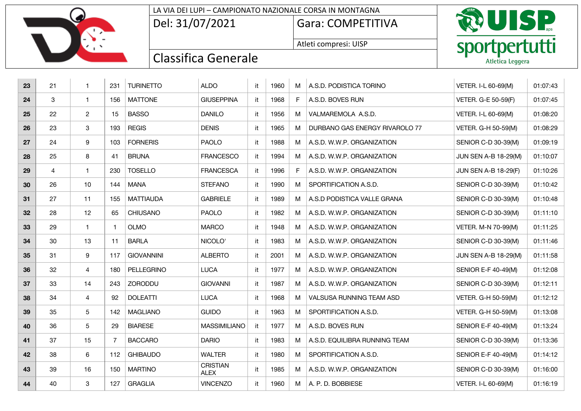#### LA VIA DEI LUPI – CAMPIONATO NAZIONALE CORSA IN MONTAGNA

Del: 31/07/2021 Gara: COMPETITIVA

Atleti compresi: UISP



| 23 | 21 | $\mathbf{1}$   | 231            | <b>TURINETTO</b>  | <b>ALDO</b>                    | it  | 1960 | M  | A.S.D. PODISTICA TORINO        | VETER. I-L 60-69(M)         | 01:07:43 |
|----|----|----------------|----------------|-------------------|--------------------------------|-----|------|----|--------------------------------|-----------------------------|----------|
| 24 | 3  | $\mathbf{1}$   | 156            | <b>MATTONE</b>    | <b>GIUSEPPINA</b>              | it  | 1968 | F. | A.S.D. BOVES RUN               | VETER. G-E 50-59(F)         | 01:07:45 |
| 25 | 22 | $\overline{2}$ | 15             | <b>BASSO</b>      | <b>DANILO</b>                  | it  | 1956 | M  | VALMAREMOLA A.S.D.             | VETER. I-L 60-69(M)         | 01:08:20 |
| 26 | 23 | 3              | 193            | <b>REGIS</b>      | <b>DENIS</b>                   | it  | 1965 | M  | DURBANO GAS ENERGY RIVAROLO 77 | VETER. G-H 50-59(M)         | 01:08:29 |
| 27 | 24 | 9              | 103            | <b>FORNERIS</b>   | <b>PAOLO</b>                   | it  | 1988 | M  | A.S.D. W.W.P. ORGANIZATION     | SENIOR C-D 30-39(M)         | 01:09:19 |
| 28 | 25 | 8              | 41             | <b>BRUNA</b>      | <b>FRANCESCO</b>               | it  | 1994 | M  | A.S.D. W.W.P. ORGANIZATION     | JUN SEN A-B 18-29(M)        | 01:10:07 |
| 29 | 4  | $\mathbf{1}$   | 230            | <b>TOSELLO</b>    | <b>FRANCESCA</b>               | it  | 1996 | F. | A.S.D. W.W.P. ORGANIZATION     | <b>JUN SEN A-B 18-29(F)</b> | 01:10:26 |
| 30 | 26 | 10             | 144            | <b>MANA</b>       | <b>STEFANO</b>                 | it  | 1990 | M  | SPORTIFICATION A.S.D.          | SENIOR C-D 30-39(M)         | 01:10:42 |
| 31 | 27 | 11             | 155            | <b>MATTIAUDA</b>  | <b>GABRIELE</b>                | it  | 1989 | M  | A.S.D PODISTICA VALLE GRANA    | SENIOR C-D 30-39(M)         | 01:10:48 |
| 32 | 28 | 12             | 65             | <b>CHIUSANO</b>   | <b>PAOLO</b>                   | it  | 1982 | M  | A.S.D. W.W.P. ORGANIZATION     | SENIOR C-D 30-39(M)         | 01:11:10 |
| 33 | 29 | $\mathbf{1}$   | $\mathbf{1}$   | <b>OLMO</b>       | <b>MARCO</b>                   | it  | 1948 | M  | A.S.D. W.W.P. ORGANIZATION     | VETER. M-N 70-99(M)         | 01:11:25 |
| 34 | 30 | 13             | 11             | <b>BARLA</b>      | NICOLO <sup>®</sup>            | it  | 1983 | M  | A.S.D. W.W.P. ORGANIZATION     | SENIOR C-D 30-39(M)         | 01:11:46 |
| 35 | 31 | 9              | 117            | <b>GIOVANNINI</b> | <b>ALBERTO</b>                 | it  | 2001 | M  | A.S.D. W.W.P. ORGANIZATION     | <b>JUN SEN A-B 18-29(M)</b> | 01:11:58 |
| 36 | 32 | $\overline{4}$ | 180            | PELLEGRINO        | <b>LUCA</b>                    | it  | 1977 | M  | A.S.D. W.W.P. ORGANIZATION     | SENIOR E-F 40-49(M)         | 01:12:08 |
| 37 | 33 | 14             | 243            | ZORODDU           | <b>GIOVANNI</b>                | it  | 1987 | M  | A.S.D. W.W.P. ORGANIZATION     | SENIOR C-D 30-39(M)         | 01:12:11 |
| 38 | 34 | $\overline{4}$ | 92             | <b>DOLEATTI</b>   | <b>LUCA</b>                    | it  | 1968 | M  | VALSUSA RUNNING TEAM ASD       | VETER. G-H 50-59(M)         | 01:12:12 |
| 39 | 35 | $\sqrt{5}$     | 142            | <b>MAGLIANO</b>   | <b>GUIDO</b>                   | it  | 1963 | M  | SPORTIFICATION A.S.D.          | VETER. G-H 50-59(M)         | 01:13:08 |
| 40 | 36 | 5              | 29             | <b>BIARESE</b>    | <b>MASSIMILIANO</b>            | it  | 1977 | M  | A.S.D. BOVES RUN               | <b>SENIOR E-F 40-49(M)</b>  | 01:13:24 |
| 41 | 37 | 15             | $\overline{7}$ | <b>BACCARO</b>    | <b>DARIO</b>                   | it  | 1983 | M  | A.S.D. EQUILIBRA RUNNING TEAM  | SENIOR C-D 30-39(M)         | 01:13:36 |
| 42 | 38 | 6              | 112            | <b>GHIBAUDO</b>   | <b>WALTER</b>                  | it  | 1980 | M  | SPORTIFICATION A.S.D.          | <b>SENIOR E-F 40-49(M)</b>  | 01:14:12 |
| 43 | 39 | 16             | 150            | <b>MARTINO</b>    | <b>CRISTIAN</b><br><b>ALEX</b> | it. | 1985 | M  | A.S.D. W.W.P. ORGANIZATION     | SENIOR C-D 30-39(M)         | 01:16:00 |
| 44 | 40 | 3              | 127            | <b>GRAGLIA</b>    | <b>VINCENZO</b>                | it  | 1960 | M  | A. P. D. BOBBIESE              | VETER. I-L 60-69(M)         | 01:16:19 |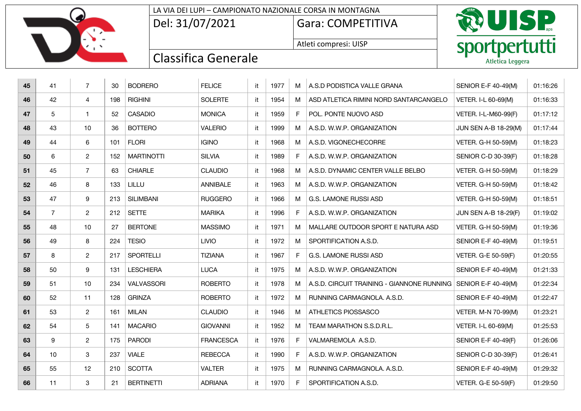| LA VIA DEI LUPI – CAMPIONATO NAZIONALE CORSA IN MONTAGNA |                   |  |  |  |  |  |  |
|----------------------------------------------------------|-------------------|--|--|--|--|--|--|
| Del: 31/07/2021                                          | Gara: COMPETITIVA |  |  |  |  |  |  |

Atleti compresi: UISP



| 45 | 41             | $\overline{7}$ | 30  | <b>BODRERO</b>    | <b>FELICE</b>    | it  | 1977 | M  | A.S.D PODISTICA VALLE GRANA                                    | SENIOR E-F 40-49(M)         | 01:16:26 |
|----|----------------|----------------|-----|-------------------|------------------|-----|------|----|----------------------------------------------------------------|-----------------------------|----------|
| 46 | 42             | 4              | 198 | <b>RIGHINI</b>    | <b>SOLERTE</b>   | it. | 1954 | M  | ASD ATLETICA RIMINI NORD SANTARCANGELO                         | VETER. I-L 60-69(M)         | 01:16:33 |
| 47 | 5              | $\mathbf{1}$   | 52  | <b>CASADIO</b>    | <b>MONICA</b>    | it  | 1959 | F. | POL. PONTE NUOVO ASD                                           | VETER. I-L-M60-99(F)        | 01:17:12 |
| 48 | 43             | 10             | 36  | <b>BOTTERO</b>    | <b>VALERIO</b>   | it  | 1999 | м  | A.S.D. W.W.P. ORGANIZATION                                     | <b>JUN SEN A-B 18-29(M)</b> | 01:17:44 |
| 49 | 44             | 6              | 101 | <b>FLORI</b>      | <b>IGINO</b>     | it  | 1968 | M  | A.S.D. VIGONECHECORRE                                          | VETER. G-H 50-59(M)         | 01:18:23 |
| 50 | 6              | $\overline{2}$ | 152 | <b>MARTINOTTI</b> | <b>SILVIA</b>    | it  | 1989 | F  | A.S.D. W.W.P. ORGANIZATION                                     | SENIOR C-D 30-39(F)         | 01:18:28 |
| 51 | 45             | $\overline{7}$ | 63  | <b>CHIARLE</b>    | <b>CLAUDIO</b>   | it  | 1968 | м  | A.S.D. DYNAMIC CENTER VALLE BELBO                              | VETER. G-H 50-59(M)         | 01:18:29 |
| 52 | 46             | 8              | 133 | LILLU             | ANNIBALE         | it  | 1963 | M  | A.S.D. W.W.P. ORGANIZATION                                     | VETER. G-H 50-59(M)         | 01:18:42 |
| 53 | 47             | 9              | 213 | <b>SILIMBANI</b>  | <b>RUGGERO</b>   | it  | 1966 | M  | G.S. LAMONE RUSSI ASD                                          | VETER. G-H 50-59(M)         | 01:18:51 |
| 54 | $\overline{7}$ | $\overline{2}$ | 212 | <b>SETTE</b>      | <b>MARIKA</b>    | it. | 1996 | F. | A.S.D. W.W.P. ORGANIZATION                                     | <b>JUN SEN A-B 18-29(F)</b> | 01:19:02 |
| 55 | 48             | 10             | 27  | <b>BERTONE</b>    | <b>MASSIMO</b>   | it  | 1971 | M  | MALLARE OUTDOOR SPORT E NATURA ASD                             | VETER. G-H 50-59(M)         | 01:19:36 |
| 56 | 49             | 8              | 224 | <b>TESIO</b>      | <b>LIVIO</b>     | it  | 1972 | M  | SPORTIFICATION A.S.D.                                          | <b>SENIOR E-F 40-49(M)</b>  | 01:19:51 |
| 57 | 8              | $\overline{2}$ | 217 | <b>SPORTELLI</b>  | <b>TIZIANA</b>   | it  | 1967 | F. | <b>G.S. LAMONE RUSSI ASD</b>                                   | VETER. G-E 50-59(F)         | 01:20:55 |
| 58 | 50             | 9              | 131 | <b>LESCHIERA</b>  | <b>LUCA</b>      | it  | 1975 | M  | A.S.D. W.W.P. ORGANIZATION                                     | SENIOR E-F 40-49(M)         | 01:21:33 |
| 59 | 51             | 10             | 234 | VALVASSORI        | <b>ROBERTO</b>   | it  | 1978 | M  | A.S.D. CIRCUIT TRAINING - GIANNONE RUNNING SENIOR E-F 40-49(M) |                             | 01:22:34 |
| 60 | 52             | 11             | 128 | <b>GRINZA</b>     | <b>ROBERTO</b>   | it  | 1972 | M  | RUNNING CARMAGNOLA. A.S.D.                                     | SENIOR E-F 40-49(M)         | 01:22:47 |
| 61 | 53             | $\overline{2}$ | 161 | <b>MILAN</b>      | <b>CLAUDIO</b>   | it. | 1946 | М  | ATHLETICS PIOSSASCO                                            | VETER. M-N 70-99(M)         | 01:23:21 |
| 62 | 54             | 5              | 141 | <b>MACARIO</b>    | <b>GIOVANNI</b>  | it  | 1952 | M  | TEAM MARATHON S.S.D.R.L.                                       | VETER. I-L 60-69(M)         | 01:25:53 |
| 63 | 9              | $\overline{2}$ | 175 | <b>PARODI</b>     | <b>FRANCESCA</b> | it  | 1976 | F  | VALMAREMOLA A.S.D.                                             | <b>SENIOR E-F 40-49(F)</b>  | 01:26:06 |
| 64 | 10             | 3              | 237 | <b>VIALE</b>      | <b>REBECCA</b>   | it  | 1990 | F. | A.S.D. W.W.P. ORGANIZATION                                     | SENIOR C-D 30-39(F)         | 01:26:41 |
| 65 | 55             | 12             | 210 | <b>SCOTTA</b>     | <b>VALTER</b>    | it  | 1975 | M  | RUNNING CARMAGNOLA. A.S.D.                                     | <b>SENIOR E-F 40-49(M)</b>  | 01:29:32 |
| 66 | 11             | 3              | 21  | <b>BERTINETTI</b> | <b>ADRIANA</b>   | it  | 1970 | F  | SPORTIFICATION A.S.D.                                          | VETER. G-E 50-59(F)         | 01:29:50 |

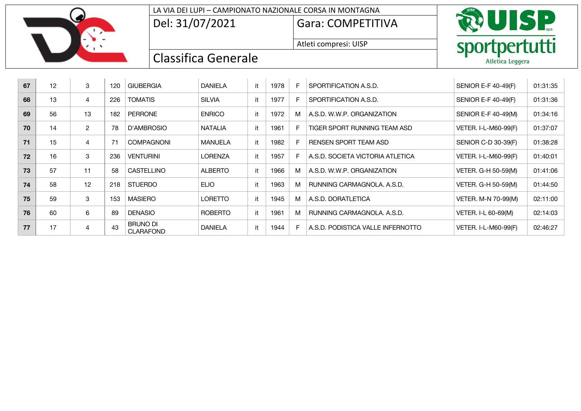

### LA VIA DEI LUPI – CAMPIONATO NAZIONALE CORSA IN MONTAGNA

Del: 31/07/2021 Gara: COMPETITIVA

Atleti compresi: UISP



| 67 | 12 | 3              | 120         | <b>GIUBERGIA</b>                    | <b>DANIELA</b> | it | 1978 | F  | SPORTIFICATION A.S.D.             | <b>SENIOR E-F 40-49(F)</b> | 01:31:35 |
|----|----|----------------|-------------|-------------------------------------|----------------|----|------|----|-----------------------------------|----------------------------|----------|
| 68 | 13 | 4              | 226         | <b>TOMATIS</b>                      | <b>SILVIA</b>  | it | 1977 | F  | SPORTIFICATION A.S.D.             | SENIOR E-F 40-49(F)        | 01:31:36 |
| 69 | 56 | 13             | 182         | <b>PERRONE</b>                      | <b>ENRICO</b>  | it | 1972 | M  | A.S.D. W.W.P. ORGANIZATION        | SENIOR E-F 40-49(M)        | 01:34:16 |
| 70 | 14 | $\overline{2}$ | 78          | D'AMBROSIO                          | <b>NATALIA</b> | it | 1961 | F. | TIGER SPORT RUNNING TEAM ASD      | VETER. I-L-M60-99(F)       | 01:37:07 |
| 71 | 15 | 4              | $7^{\circ}$ | <b>COMPAGNONI</b>                   | <b>MANUELA</b> | it | 1982 | F  | RENSEN SPORT TEAM ASD             | SENIOR C-D 30-39(F)        | 01:38:28 |
| 72 | 16 | 3              | 236         | <b>VENTURINI</b>                    | <b>LORENZA</b> | it | 1957 | F  | A.S.D. SOCIETA VICTORIA ATLETICA  | VETER. I-L-M60-99(F)       | 01:40:01 |
| 73 | 57 | 11             | 58          | <b>CASTELLINO</b>                   | <b>ALBERTO</b> | it | 1966 | M  | A.S.D. W.W.P. ORGANIZATION        | VETER. G-H 50-59(M)        | 01:41:06 |
| 74 | 58 | 12             | 218         | <b>STUERDO</b>                      | <b>ELIO</b>    | it | 1963 | M  | RUNNING CARMAGNOLA, A.S.D.        | VETER. G-H 50-59(M)        | 01:44:50 |
| 75 | 59 | 3              | 153         | <b>MASIERO</b>                      | <b>LORETTO</b> | it | 1945 | M  | A.S.D. DORATLETICA                | VETER. M-N 70-99(M)        | 02:11:00 |
| 76 | 60 | 6              | 89          | <b>DENASIO</b>                      | <b>ROBERTO</b> | it | 1961 | M  | RUNNING CARMAGNOLA, A.S.D.        | VETER. I-L 60-69(M)        | 02:14:03 |
| 77 | 17 | 4              | 43          | <b>BRUNO DI</b><br><b>CLARAFOND</b> | <b>DANIELA</b> | it | 1944 | F  | A.S.D. PODISTICA VALLE INFERNOTTO | VETER. I-L-M60-99(F)       | 02:46:27 |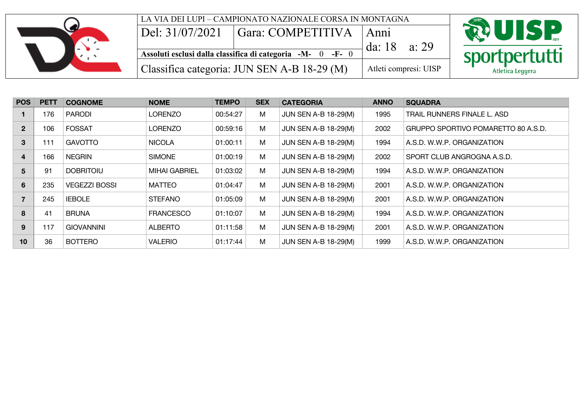

| <b>POS</b>   | <b>PETT</b> | <b>COGNOME</b>       | <b>NOME</b>          | <b>TEMPO</b> | <b>SEX</b> | <b>CATEGORIA</b>            | <b>ANNO</b> | <b>SQUADRA</b>                      |
|--------------|-------------|----------------------|----------------------|--------------|------------|-----------------------------|-------------|-------------------------------------|
|              | 176         | <b>PARODI</b>        | LORENZO              | 00:54:27     | M          | <b>JUN SEN A-B 18-29(M)</b> | 1995        | TRAIL RUNNERS FINALE L. ASD         |
| $\mathbf{2}$ | 106         | <b>FOSSAT</b>        | LORENZO              | 00:59:16     | M          | <b>JUN SEN A-B 18-29(M)</b> | 2002        | GRUPPO SPORTIVO POMARETTO 80 A.S.D. |
| 3            | 111         | <b>GAVOTTO</b>       | <b>NICOLA</b>        | 01:00:11     | M          | <b>JUN SEN A-B 18-29(M)</b> | 1994        | A.S.D. W.W.P. ORGANIZATION          |
| 4            | 166         | <b>NEGRIN</b>        | <b>SIMONE</b>        | 01:00:19     | M          | <b>JUN SEN A-B 18-29(M)</b> | 2002        | SPORT CLUB ANGROGNA A.S.D.          |
| 5            | 91          | <b>DOBRITOIU</b>     | <b>MIHAI GABRIEL</b> | 01:03:02     | M          | <b>JUN SEN A-B 18-29(M)</b> | 1994        | A.S.D. W.W.P. ORGANIZATION          |
| 6            | 235         | <b>VEGEZZI BOSSI</b> | <b>MATTEO</b>        | 01:04:47     | M          | <b>JUN SEN A-B 18-29(M)</b> | 2001        | A.S.D. W.W.P. ORGANIZATION          |
|              | 245         | <b>IEBOLE</b>        | <b>STEFANO</b>       | 01:05:09     | M          | <b>JUN SEN A-B 18-29(M)</b> | 2001        | A.S.D. W.W.P. ORGANIZATION          |
| 8            | 41          | <b>BRUNA</b>         | <b>FRANCESCO</b>     | 01:10:07     | M          | <b>JUN SEN A-B 18-29(M)</b> | 1994        | A.S.D. W.W.P. ORGANIZATION          |
| 9            | 117         | <b>GIOVANNINI</b>    | <b>ALBERTO</b>       | 01:11:58     | M          | <b>JUN SEN A-B 18-29(M)</b> | 2001        | A.S.D. W.W.P. ORGANIZATION          |
| 10           | 36          | <b>BOTTERO</b>       | <b>VALERIO</b>       | 01:17:44     | M          | <b>JUN SEN A-B 18-29(M)</b> | 1999        | A.S.D. W.W.P. ORGANIZATION          |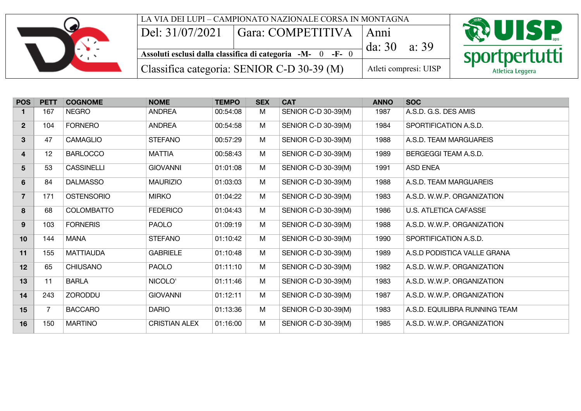

|                           | LA VIA DEI LUPI – CAMPIONATO NAZIONALE CORSA IN MONTAGNA   |                         |                       |                  |
|---------------------------|------------------------------------------------------------|-------------------------|-----------------------|------------------|
| $\text{Del: } 31/07/2021$ | $\Box$ Gara: COMPETITIVA $\Box$ Anni                       |                         |                       | <b>ROUISP</b>    |
|                           | Assoluti esclusi dalla classifica di categoria -M- 0 -F- 0 | da: $30 \text{ a} : 39$ |                       |                  |
|                           |                                                            |                         |                       | sportpertutti    |
|                           | Classifica categoria: SENIOR C-D 30-39 (M)                 |                         | Atleti compresi: UISP | Atletica Leggera |

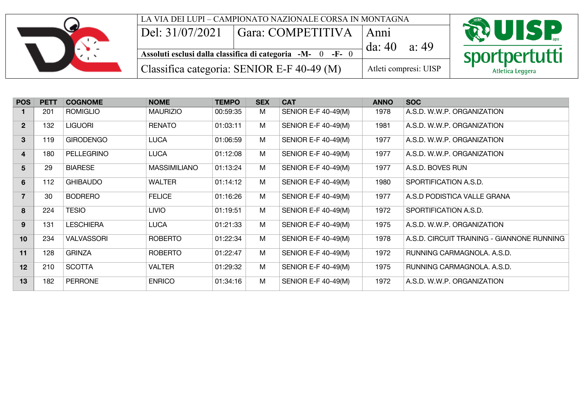

| <b>POS</b>      | <b>PETT</b> | <b>COGNOME</b>    | <b>NOME</b>         | <b>TEMPO</b> | <b>SEX</b> | <b>CAT</b>                 | <b>ANNO</b> | <b>SOC</b>                                 |
|-----------------|-------------|-------------------|---------------------|--------------|------------|----------------------------|-------------|--------------------------------------------|
|                 | 201         | <b>ROMIGLIO</b>   | <b>MAURIZIO</b>     | 00:59:35     | M          | <b>SENIOR E-F 40-49(M)</b> | 1978        | A.S.D. W.W.P. ORGANIZATION                 |
| 2 <sup>1</sup>  | 132         | <b>LIGUORI</b>    | <b>RENATO</b>       | 01:03:11     | M          | SENIOR E-F 40-49(M)        | 1981        | A.S.D. W.W.P. ORGANIZATION                 |
| $3\phantom{a}$  | 119         | <b>GIRODENGO</b>  | <b>LUCA</b>         | 01:06:59     | M          | SENIOR E-F 40-49(M)        | 1977        | A.S.D. W.W.P. ORGANIZATION                 |
| $\overline{4}$  | 180         | PELLEGRINO        | <b>LUCA</b>         | 01:12:08     | M          | SENIOR E-F 40-49(M)        | 1977        | A.S.D. W.W.P. ORGANIZATION                 |
| 5               | 29          | <b>BIARESE</b>    | <b>MASSIMILIANO</b> | 01:13:24     | M          | SENIOR E-F 40-49(M)        | 1977        | A.S.D. BOVES RUN                           |
| $6\phantom{1}$  | 112         | <b>GHIBAUDO</b>   | <b>WALTER</b>       | 01:14:12     | M          | SENIOR E-F 40-49(M)        | 1980        | SPORTIFICATION A.S.D.                      |
| $\overline{7}$  | 30          | <b>BODRERO</b>    | <b>FELICE</b>       | 01:16:26     | M          | SENIOR E-F 40-49(M)        | 1977        | A.S.D PODISTICA VALLE GRANA                |
| 8               | 224         | <b>TESIO</b>      | <b>LIVIO</b>        | 01:19:51     | M          | SENIOR E-F 40-49(M)        | 1972        | SPORTIFICATION A.S.D.                      |
| 9               | 131         | <b>LESCHIERA</b>  | <b>LUCA</b>         | 01:21:33     | M          | SENIOR E-F 40-49(M)        | 1975        | A.S.D. W.W.P. ORGANIZATION                 |
| 10 <sup>1</sup> | 234         | <b>VALVASSORI</b> | <b>ROBERTO</b>      | 01:22:34     | M          | <b>SENIOR E-F 40-49(M)</b> | 1978        | A.S.D. CIRCUIT TRAINING - GIANNONE RUNNING |
| 11              | 128         | <b>GRINZA</b>     | <b>ROBERTO</b>      | 01:22:47     | M          | SENIOR E-F 40-49(M)        | 1972        | RUNNING CARMAGNOLA, A.S.D.                 |
| 12              | 210         | <b>SCOTTA</b>     | <b>VALTER</b>       | 01:29:32     | M          | SENIOR E-F 40-49(M)        | 1975        | RUNNING CARMAGNOLA. A.S.D.                 |
| 13              | 182         | <b>PERRONE</b>    | <b>ENRICO</b>       | 01:34:16     | M          | SENIOR E-F 40-49(M)        | 1972        | A.S.D. W.W.P. ORGANIZATION                 |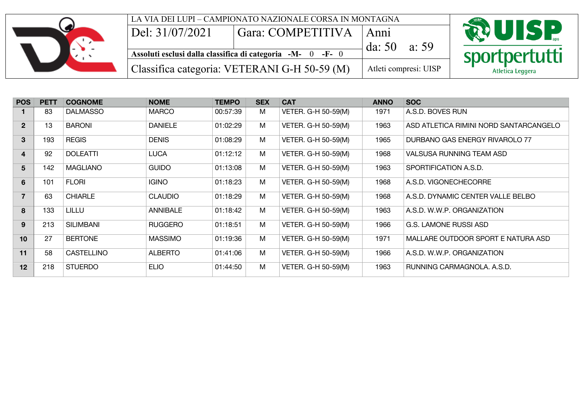|                 | LA VIA DEI LUPI – CAMPIONATO NAZIONALE CORSA IN MONTAGNA   |                       |                  |
|-----------------|------------------------------------------------------------|-----------------------|------------------|
| Del: 31/07/2021 | ' Gara: COMPETITIVA                                        | Anni                  | <b>RUISP</b>     |
|                 | Assoluti esclusi dalla classifica di categoria -M- 0 -F- 0 | da: $50$<br>a: 59     | sportpertutti    |
|                 | Classifica categoria: VETERANI G-H 50-59 (M)               | Atleti compresi: UISP | Atletica Leggera |

| <b>POS</b>              | <b>PETT</b> | <b>COGNOME</b>   | <b>NOME</b>     | <b>TEMPO</b> | <b>SEX</b> | <b>CAT</b>          | <b>ANNO</b> | <b>SOC</b>                             |
|-------------------------|-------------|------------------|-----------------|--------------|------------|---------------------|-------------|----------------------------------------|
|                         | 83          | <b>DALMASSO</b>  | <b>MARCO</b>    | 00:57:39     | M          | VETER. G-H 50-59(M) | 1971        | A.S.D. BOVES RUN                       |
| 2 <sup>2</sup>          | 13          | <b>BARONI</b>    | <b>DANIELE</b>  | 01:02:29     | M          | VETER. G-H 50-59(M) | 1963        | ASD ATLETICA RIMINI NORD SANTARCANGELO |
| 3                       | 193         | <b>REGIS</b>     | <b>DENIS</b>    | 01:08:29     | M          | VETER. G-H 50-59(M) | 1965        | DURBANO GAS ENERGY RIVAROLO 77         |
| $\overline{\mathbf{4}}$ | 92          | <b>DOLEATTI</b>  | <b>LUCA</b>     | 01:12:12     | M          | VETER. G-H 50-59(M) | 1968        | VALSUSA RUNNING TEAM ASD               |
| $5\overline{)}$         | 142         | <b>MAGLIANO</b>  | <b>GUIDO</b>    | 01:13:08     | M          | VETER. G-H 50-59(M) | 1963        | SPORTIFICATION A.S.D.                  |
| $6\phantom{1}$          | 101         | <b>FLORI</b>     | <b>IGINO</b>    | 01:18:23     | M          | VETER. G-H 50-59(M) | 1968        | A.S.D. VIGONECHECORRE                  |
| $\overline{7}$          | 63          | <b>CHIARLE</b>   | <b>CLAUDIO</b>  | 01:18:29     | M          | VETER. G-H 50-59(M) | 1968        | A.S.D. DYNAMIC CENTER VALLE BELBO      |
| 8                       | 133         | <b>LILLU</b>     | <b>ANNIBALE</b> | 01:18:42     | M          | VETER. G-H 50-59(M) | 1963        | A.S.D. W.W.P. ORGANIZATION             |
| 9                       | 213         | <b>SILIMBANI</b> | <b>RUGGERO</b>  | 01:18:51     | M          | VETER. G-H 50-59(M) | 1966        | <b>G.S. LAMONE RUSSI ASD</b>           |
| 10 <sup>1</sup>         | 27          | <b>BERTONE</b>   | <b>MASSIMO</b>  | 01:19:36     | M          | VETER. G-H 50-59(M) | 1971        | MALLARE OUTDOOR SPORT E NATURA ASD     |
| 11                      | 58          | CASTELLINO       | <b>ALBERTO</b>  | 01:41:06     | M          | VETER. G-H 50-59(M) | 1966        | A.S.D. W.W.P. ORGANIZATION             |
| 12                      | 218         | <b>STUERDO</b>   | <b>ELIO</b>     | 01:44:50     | M          | VETER. G-H 50-59(M) | 1963        | RUNNING CARMAGNOLA, A.S.D.             |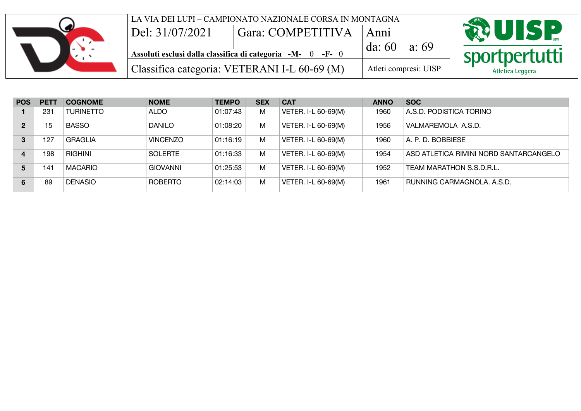|                 | LA VIA DEI LUPI – CAMPIONATO NAZIONALE CORSA IN MONTAGNA                            |                       |                  |
|-----------------|-------------------------------------------------------------------------------------|-----------------------|------------------|
| Del: 31/07/2021 | Gara: COMPETITIVA                                                                   | Anni                  | <b>RUISP</b>     |
|                 | Assoluti esclusi dalla classifica di categoria $-M \overline{0}$ -F- $\overline{0}$ | da: 60<br>a: 69       | sportpertutti    |
|                 | Classifica categoria: VETERANI I-L 60-69 (M)                                        | Atleti compresi: UISP | Atletica Leggera |

| <b>POS</b>     | <b>PETT</b>     | <b>COGNOME</b>   | <b>NOME</b>     | <b>TEMPO</b> | <b>SEX</b> | <b>CAT</b>          | <b>ANNO</b> | <b>SOC</b>                             |
|----------------|-----------------|------------------|-----------------|--------------|------------|---------------------|-------------|----------------------------------------|
|                | 231             | <b>TURINETTO</b> | <b>ALDO</b>     | 01:07:43     | M          | VETER. I-L 60-69(M) | 1960        | A.S.D. PODISTICA TORINO                |
| $\mathbf{2}$   | 15              | <b>BASSO</b>     | <b>DANILO</b>   | 01:08:20     | м          | VETER. I-L 60-69(M) | 1956        | VALMAREMOLA A.S.D.                     |
| 3              | 127             | <b>GRAGLIA</b>   | <b>VINCENZO</b> | 01:16:19     | M          | VETER. I-L 60-69(M) | 1960        | A. P. D. BOBBIESE                      |
| $\overline{4}$ | 198             | RIGHINI          | <b>SOLERTE</b>  | 01:16:33     | M          | VETER. I-L 60-69(M) | 1954        | ASD ATLETICA RIMINI NORD SANTARCANGELO |
| 5              | 14 <sup>1</sup> | <b>MACARIO</b>   | <b>GIOVANNI</b> | 01:25:53     | м          | VETER. I-L 60-69(M) | 1952        | TEAM MARATHON S.S.D.R.L.               |
| 6              | 89              | <b>DENASIO</b>   | <b>ROBERTO</b>  | 02:14:03     | M          | VETER. I-L 60-69(M) | 1961        | RUNNING CARMAGNOLA, A.S.D.             |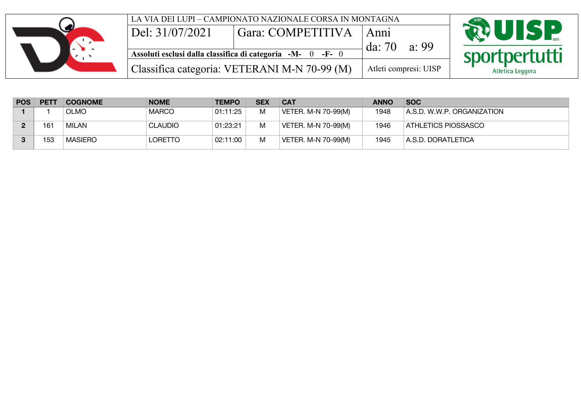|                 | LA VIA DEI LUPI – CAMPIONATO NAZIONALE CORSA IN MONTAGNA   |                       |                  |
|-----------------|------------------------------------------------------------|-----------------------|------------------|
| Del: 31/07/2021 | <sup>'</sup> Gara: COMPETITIVA                             | Anni                  | <b>ROUISP</b>    |
|                 | Assoluti esclusi dalla classifica di categoria -M- 0 -F- 0 | da: $70$<br>a: 99     | sportpertutti    |
|                 | Classifica categoria: VETERANI M-N 70-99 (M)               | Atleti compresi: UISP | Atletica Leggera |

| <b>POS</b> | <b>PETT</b> | <b>COGNOME</b> | <b>NOME</b>    | <b>TEMPO</b> | <b>SEX</b> | <b>CAT</b>          | <b>ANNO</b> | <b>SOC</b>                 |
|------------|-------------|----------------|----------------|--------------|------------|---------------------|-------------|----------------------------|
|            |             | <b>OLMO</b>    | <b>MARCO</b>   | 01:11:25     | M          | VETER. M-N 70-99(M) | 1948        | A.S.D. W.W.P. ORGANIZATION |
|            | 161         | MILAN          | <b>CLAUDIO</b> | 01:23:21     | M          | VETER. M-N 70-99(M) | 1946        | ATHLETICS PIOSSASCO        |
|            | 153         | MASIERO        | <b>LORETTO</b> | 02:11:00     | M          | VETER. M-N 70-99(M) | 1945        | A.S.D. DORATLETICA         |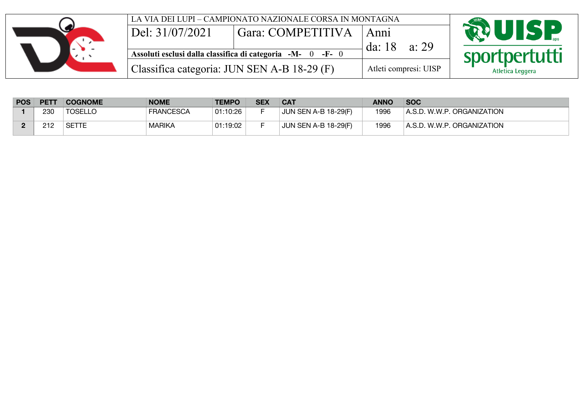| $\text{Del: } 31/07/2021$                   | LA VIA DEI LUPI – CAMPIONATO NAZIONALE CORSA IN MONTAGNA<br>Gara: COMPETITIVA | Anni                  | <b>RUISP</b>     |
|---------------------------------------------|-------------------------------------------------------------------------------|-----------------------|------------------|
|                                             | Assoluti esclusi dalla classifica di categoria -M- 0 -F- 0                    | a: 29<br>da: $18$     | sportpertutti    |
| Classifica categoria: JUN SEN A-B 18-29 (F) |                                                                               | Atleti compresi: UISP | Atletica Leggera |

| <b>POS</b> | <b>PETT</b> | <b>COGNOME</b> | <b>NOME</b>      | <b>TEMPO</b> | <b>SEX</b> | <b>CAT</b>                  | <b>ANNO</b> | <b>SOC</b>                 |
|------------|-------------|----------------|------------------|--------------|------------|-----------------------------|-------------|----------------------------|
|            | 230         | <b>TOSELLO</b> | <b>FRANCESCA</b> | 01:10:26     |            | <b>JUN SEN A-B 18-29(F)</b> | 1996        | A.S.D. W.W.P. ORGANIZATION |
|            | 212         | SETTE          | <b>MARIKA</b>    | 01:19:02     |            | <b>JUN SEN A-B 18-29(F)</b> | 1996        | A.S.D. W.W.P. ORGANIZATION |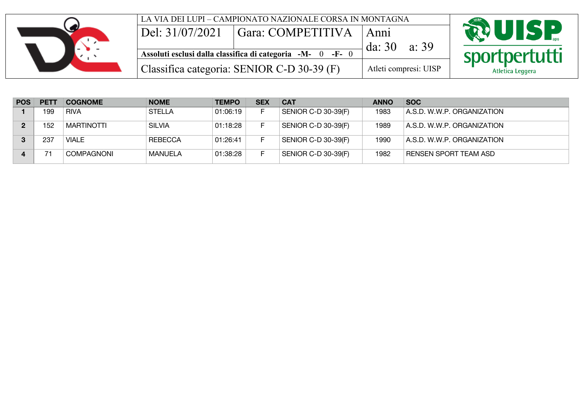| LA VIA DEI LUPI – CAMPIONATO NAZIONALE CORSA IN MONTAGNA<br>Del: 31/07/2021<br><sup>'</sup> Gara: COMPETITIVA |                             | <b>RUISP</b>     |  |  |
|---------------------------------------------------------------------------------------------------------------|-----------------------------|------------------|--|--|
| Assoluti esclusi dalla classifica di categoria -M- 0 -F- 0                                                    | Anni<br>da: $30$<br>a: $39$ | sportpertutti    |  |  |
| Classifica categoria: SENIOR C-D 30-39 (F)                                                                    | Atleti compresi: UISP       | Atletica Leggera |  |  |

| <b>POS</b> | <b>PETT</b> | <b>COGNOME</b>    | <b>NOME</b>   | <b>TEMPO</b> | <b>SEX</b> | <b>CAT</b>          | <b>ANNO</b> | <b>SOC</b>                 |
|------------|-------------|-------------------|---------------|--------------|------------|---------------------|-------------|----------------------------|
|            | 199         | <b>RIVA</b>       | <b>STELLA</b> | 01:06:19     |            | SENIOR C-D 30-39(F) | 1983        | A.S.D. W.W.P. ORGANIZATION |
|            | 152         | MARTINOTTI        | <b>SILVIA</b> | 01:18:28     |            | SENIOR C-D 30-39(F) | 1989        | A.S.D. W.W.P. ORGANIZATION |
|            | 237         | VIALE             | REBECCA       | 01:26:41     |            | SENIOR C-D 30-39(F) | 1990        | A.S.D. W.W.P. ORGANIZATION |
|            |             | <b>COMPAGNONI</b> | MANUELA       | 01:38:28     |            | SENIOR C-D 30-39(F) | 1982        | RENSEN SPORT TEAM ASD      |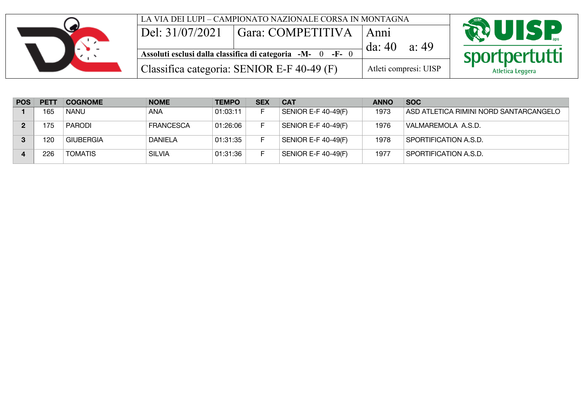| LA VIA DEI LUPI – CAMPIONATO NAZIONALE CORSA IN MONTAGNA<br>Del: 31/07/2021<br>Gara: COMPETITIVA | Anni                  | <b>RUISP</b>     |
|--------------------------------------------------------------------------------------------------|-----------------------|------------------|
| Assoluti esclusi dalla classifica di categoria -M- 0 -F- 0                                       | da: $40$<br>a: 49     | sportpertutti    |
| Classifica categoria: SENIOR E-F 40-49 (F)                                                       | Atleti compresi: UISP | Atletica Leggera |

| <b>POS</b> | <b>PETT</b> | <b>COGNOME</b>   | <b>NOME</b>      | <b>TEMPO</b> | <b>SEX</b> | <b>CAT</b>                       | <b>ANNO</b> | <b>SOC</b>                             |
|------------|-------------|------------------|------------------|--------------|------------|----------------------------------|-------------|----------------------------------------|
|            | 165         | <b>NANU</b>      | <b>ANA</b>       | 01:03:11     |            | <b>SENIOR E-F 40-49(F)</b>       | 1973        | ASD ATLETICA RIMINI NORD SANTARCANGELO |
| 2          | 175         | <b>PARODI</b>    | <b>FRANCESCA</b> | 01:26:06     |            | <b>SENIOR E-F 40-49(F)</b>       | 1976        | VALMAREMOLA A.S.D.                     |
| 3          | 120         | <b>GIUBERGIA</b> | <b>DANIELA</b>   | 01:31:35     |            | SENIOR E-F 40-49(F)              | 1978        | SPORTIFICATION A.S.D.                  |
|            | 226         | <b>TOMATIS</b>   | <b>SILVIA</b>    | 01:31:36     |            | <sup>∣</sup> SENIOR E-F 40-49(F) | 1977        | SPORTIFICATION A.S.D.                  |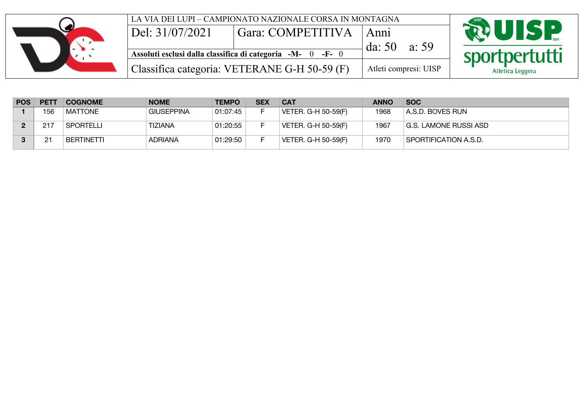|                               | LA VIA DEI LUPI – CAMPIONATO NAZIONALE CORSA IN MONTAGNA   |                       |                  |
|-------------------------------|------------------------------------------------------------|-----------------------|------------------|
| $\overline{D}$ el: 31/07/2021 | Gara: COMPETITIVA                                          | Anni                  | <b>RUISP</b>     |
|                               | Assoluti esclusi dalla classifica di categoria -M- 0 -F- 0 | da: $50$<br>a: 59     | sportpertutti    |
|                               | Classifica categoria: VETERANE G-H 50-59 (F)               | Atleti compresi: UISP | Atletica Leggera |

| <b>POS</b> | <b>PETT</b> | <b>COGNOME</b>    | <b>NOME</b>       | <b>TEMPO</b> | <b>SEX</b> | <b>CAT</b>          | <b>ANNO</b> | <b>SOC</b>            |
|------------|-------------|-------------------|-------------------|--------------|------------|---------------------|-------------|-----------------------|
|            | 156         | <b>MATTONE</b>    | <b>GIUSEPPINA</b> | 01:07:45     |            | VETER. G-H 50-59(F) | 1968        | A.S.D. BOVES RUN      |
|            | 217         | <b>SPORTELLI</b>  | <b>TIZIANA</b>    | 01:20:55     |            | VETER. G-H 50-59(F) | 1967        | G.S. LAMONE RUSSI ASD |
|            | 21          | <b>BERTINETTI</b> | <b>ADRIANA</b>    | 01:29:50     |            | VETER. G-H 50-59(F) | 1970        | SPORTIFICATION A.S.D. |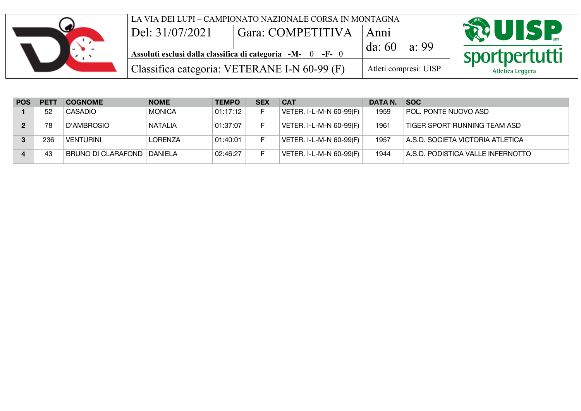|                          | LA VIA DEI LUPI – CAMPIONATO NAZIONALE CORSA IN MONTAGNA                            |                       |       |                  |
|--------------------------|-------------------------------------------------------------------------------------|-----------------------|-------|------------------|
| $\Delta$ Del: 31/07/2021 | Gara: COMPETITIVA                                                                   | Anni                  |       | <b>RUISP</b>     |
|                          | Assoluti esclusi dalla classifica di categoria $-M \overline{0}$ -F- $\overline{0}$ | da: 60                | a: 99 | sportpertutti    |
|                          | Classifica categoria: VETERANE I-N 60-99 (F)                                        | Atleti compresi: UISP |       | Atletica Leggera |

| <b>POS</b> | <b>PETT</b> | <b>COGNOME</b>               | <b>NOME</b>    | <b>TEMPO</b> | <b>SEX</b> | <b>CAT</b>              | DATA N. | <b>SOC</b>                        |
|------------|-------------|------------------------------|----------------|--------------|------------|-------------------------|---------|-----------------------------------|
|            | 52          | CASADIO                      | <b>MONICA</b>  | 01:17:12     |            | VETER. I-L-M-N 60-99(F) | 1959    | POL. PONTE NUOVO ASD              |
|            | 78          | D'AMBROSIO                   | <b>NATALIA</b> | 01:37:07     |            | VETER. I-L-M-N 60-99(F) | 1961    | TIGER SPORT RUNNING TEAM ASD      |
|            | 236         | VENTURINI                    | <b>LORENZA</b> | 01:40:01     |            | VETER. I-L-M-N 60-99(F) | 1957    | A.S.D. SOCIETA VICTORIA ATLETICA  |
|            | 43          | BRUNO DI CLARAFOND   DANIELA |                | 02:46:27     |            | VETER. I-L-M-N 60-99(F) | 1944    | A.S.D. PODISTICA VALLE INFERNOTTO |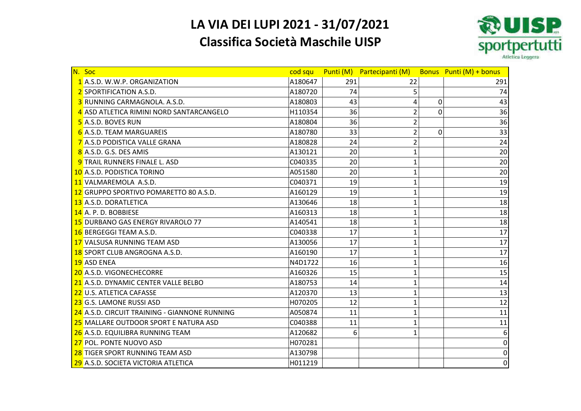# **LA VIA DEI LUPI 2021 - 31/07/2021**

### **Classifica Società Maschile UISP**



| N. Soc                                        | cod squ |     | Punti (M) Partecipanti (M) | Bonus Punti (M) + bonus |
|-----------------------------------------------|---------|-----|----------------------------|-------------------------|
| 1 A.S.D. W.W.P. ORGANIZATION                  | A180647 | 291 | 22                         | 291                     |
| 2 SPORTIFICATION A.S.D.                       | A180720 | 74  | 5                          | 74                      |
| 3 RUNNING CARMAGNOLA. A.S.D.                  | A180803 | 43  | 4<br>0                     | 43                      |
| 4 ASD ATLETICA RIMINI NORD SANTARCANGELO      | H110354 | 36  | $\overline{2}$<br>0        | 36                      |
| 5 A.S.D. BOVES RUN                            | A180804 | 36  | $\overline{2}$             | 36                      |
| 6 A.S.D. TEAM MARGUAREIS                      | A180780 | 33  | 2<br>0                     | 33                      |
| 7 A.S.D PODISTICA VALLE GRANA                 | A180828 | 24  | $\overline{2}$             | 24                      |
| 8 A.S.D. G.S. DES AMIS                        | A130121 | 20  | 1                          | 20                      |
| 9 TRAIL RUNNERS FINALE L. ASD                 | C040335 | 20  | 1                          | 20                      |
| 10 A.S.D. PODISTICA TORINO                    | A051580 | 20  | 1                          | 20                      |
| 11 VALMAREMOLA A.S.D.                         | C040371 | 19  | 1                          | 19                      |
| 12 GRUPPO SPORTIVO POMARETTO 80 A.S.D.        | A160129 | 19  | $\mathbf 1$                | 19                      |
| 13 A.S.D. DORATLETICA                         | A130646 | 18  | 1                          | 18                      |
| $14$ A. P. D. BOBBIESE                        | A160313 | 18  | $\mathbf{1}$               | 18                      |
| 15 DURBANO GAS ENERGY RIVAROLO 77             | A140541 | 18  | 1                          | 18                      |
| 16 BERGEGGI TEAM A.S.D.                       | C040338 | 17  | 1                          | 17                      |
| 17 VALSUSA RUNNING TEAM ASD                   | A130056 | 17  | 1                          | 17                      |
| 18 SPORT CLUB ANGROGNA A.S.D.                 | A160190 | 17  | $\mathbf 1$                | 17                      |
| <b>19 ASD ENEA</b>                            | N4D1722 | 16  | $\mathbf 1$                | 16                      |
| 20 A.S.D. VIGONECHECORRE                      | A160326 | 15  | $\mathbf 1$                | 15                      |
| 21 A.S.D. DYNAMIC CENTER VALLE BELBO          | A180753 | 14  | 1                          | 14                      |
| 22 U.S. ATLETICA CAFASSE                      | A120370 | 13  | 1                          | 13                      |
| 23 G.S. LAMONE RUSSI ASD                      | H070205 | 12  | 1                          | 12                      |
| 24 A.S.D. CIRCUIT TRAINING - GIANNONE RUNNING | A050874 | 11  | $\mathbf 1$                | 11                      |
| 25 MALLARE OUTDOOR SPORT E NATURA ASD         | C040388 | 11  | 1                          | 11                      |
| 26 A.S.D. EQUILIBRA RUNNING TEAM              | A120682 | 6   | $\mathbf{1}$               | 6                       |
| 27 POL. PONTE NUOVO ASD                       | H070281 |     |                            | 0                       |
| 28 TIGER SPORT RUNNING TEAM ASD               | A130798 |     |                            | 0                       |
| 29 A.S.D. SOCIETA VICTORIA ATLETICA           | H011219 |     |                            | 0                       |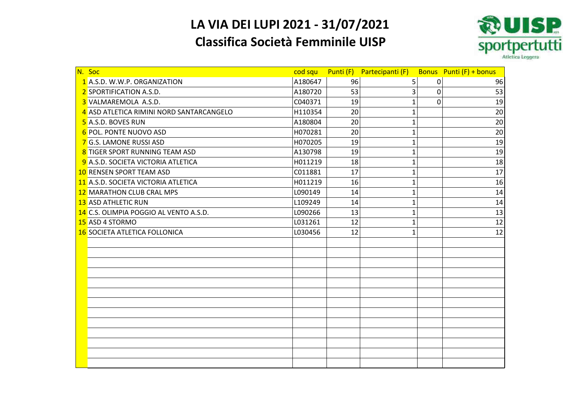# **LA VIA DEI LUPI 2021 - 31/07/2021**

### **Classifica Società Femminile UISP**



| N. Soc                                   | cod squ |    | Punti (F) Partecipanti (F) |   | Bonus Punti (F) + bonus |
|------------------------------------------|---------|----|----------------------------|---|-------------------------|
| 1 A.S.D. W.W.P. ORGANIZATION             | A180647 | 96 | 5                          | 0 | 96                      |
| 2 SPORTIFICATION A.S.D.                  | A180720 | 53 | 3                          | 0 | 53                      |
| 3 VALMAREMOLA A.S.D.                     | C040371 | 19 | $\mathbf{1}$               | 0 | 19                      |
| 4 ASD ATLETICA RIMINI NORD SANTARCANGELO | H110354 | 20 | $\mathbf{1}$               |   | 20                      |
| 5 A.S.D. BOVES RUN                       | A180804 | 20 | $\mathbf{1}$               |   | 20                      |
| 6 POL. PONTE NUOVO ASD                   | H070281 | 20 | 1                          |   | 20                      |
| 7 G.S. LAMONE RUSSI ASD                  | H070205 | 19 | $\mathbf{1}$               |   | 19                      |
| 8 TIGER SPORT RUNNING TEAM ASD           | A130798 | 19 | 1                          |   | 19                      |
| 9 A.S.D. SOCIETA VICTORIA ATLETICA       | H011219 | 18 | 1                          |   | 18                      |
| 10 RENSEN SPORT TEAM ASD                 | C011881 | 17 | 1                          |   | 17                      |
| 11 A.S.D. SOCIETA VICTORIA ATLETICA      | H011219 | 16 | $\mathbf{1}$               |   | 16                      |
| 12 MARATHON CLUB CRAL MPS                | L090149 | 14 | $\mathbf{1}$               |   | 14                      |
| <b>13 ASD ATHLETIC RUN</b>               | L109249 | 14 | $\mathbf{1}$               |   | 14                      |
| 14 C.S. OLIMPIA POGGIO AL VENTO A.S.D.   | L090266 | 13 | 1                          |   | 13                      |
| 15 ASD 4 STORMO                          | L031261 | 12 | $\mathbf{1}$               |   | 12                      |
| 16 SOCIETA ATLETICA FOLLONICA            | L030456 | 12 | 1                          |   | 12                      |
|                                          |         |    |                            |   |                         |
|                                          |         |    |                            |   |                         |
|                                          |         |    |                            |   |                         |
|                                          |         |    |                            |   |                         |
|                                          |         |    |                            |   |                         |
|                                          |         |    |                            |   |                         |
|                                          |         |    |                            |   |                         |
|                                          |         |    |                            |   |                         |
|                                          |         |    |                            |   |                         |
|                                          |         |    |                            |   |                         |
|                                          |         |    |                            |   |                         |
|                                          |         |    |                            |   |                         |
|                                          |         |    |                            |   |                         |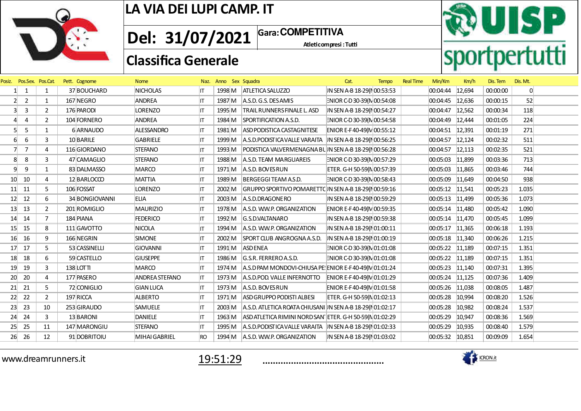

**1** Gara: COMPETITIVA **Del: 31/07/2021**

Atleticompresi : Tutti

## **Classifica Generale**



| Posiz.          | Pos.Sex. Pos.Cat |                | Pett. Cognome  | <b>Nome</b>       |           | Naz. Anno Sex Squadra |                                                               | Cat.                        | <b>Tempo</b> | <b>Real Time</b> | Min/Km                 | Km/h   | Dis. Tem | Dis. Mt.       |  |
|-----------------|------------------|----------------|----------------|-------------------|-----------|-----------------------|---------------------------------------------------------------|-----------------------------|--------------|------------------|------------------------|--------|----------|----------------|--|
|                 | 1                | $\mathbf{1}$   | 37 BOUCHARD    | <b>NICHOLAS</b>   | IT.       |                       | 1998 M   ATLETICA SALUZZO                                     | IN SEN A-B 18-29(N 00:53:53 |              |                  | 00:04:44               | 12,694 | 00:00:00 | $\overline{0}$ |  |
| $\overline{2}$  | $\overline{2}$   | $\mathbf{1}$   | 167 NEGRO      | ANDREA            | IT.       | 1987 M                | A.S.D. G.S. DESAMIS                                           | ENIOR C-D 30-39(N 00:54:08  |              |                  | 00:04:45               | 12,636 | 00:00:15 | 52             |  |
|                 | 3                | $\overline{2}$ | 176 PARODI     | <b>LORENZO</b>    | ΙT        | 1995 M                | <b>TRAIL RUNNERS FINALE L. ASD</b>                            | JN SEN A-B 18-29(NO0:54:27  |              |                  | 00:04:47 12,562        |        | 00:00:34 | 118            |  |
|                 | 4                | $\overline{2}$ | 104 FORNERO    | <b>ANDREA</b>     | IΤ        | 1984 M                | SPORTIFICATION A.S.D.                                         | ENIOR C-D 30-39(N 00:54:58  |              |                  | 00:04:49               | 12,444 | 00:01:05 | 224            |  |
|                 | 5                | $\mathbf{1}$   | 6 ARNAUDO      | <b>ALESSANDRO</b> | IT.       | 1981 M                | ASD PODISTICA CASTAGNITESE                                    | ENIOR E-F40-49(N 00:55:12   |              |                  | 00:04:51               | 12,391 | 00:01:19 | 271            |  |
| 6               | 6                | 3              | 10 BARILE      | <b>GABRIELE</b>   | IT.       | 1999 M                | $ A.S.D.PODISTICAVALLE VARAITA   IN SEN A-B 18-29(N00:56:25)$ |                             |              |                  | 00:04:57               | 12,124 | 00:02:32 | 511            |  |
|                 | $\overline{7}$   | 4              | 116 GIORDANO   | <b>STEFANO</b>    | ΙT        | 1993 M                | PODISTICA VALVERMENAGNA BUN SEN A-B 18-29(NO0:56:28           |                             |              |                  | 00:04:57               | 12,113 | 00:02:35 | 521            |  |
| 8               | 8                | 3              | 47 CAMAGLIO    | <b>STEFANO</b>    | IΤ        | 1988 M                | A.S.D. TEAM MARGUAREIS                                        | ENIOR C-D 30-39(N 00:57:29  |              |                  | 00:05:03 11,899        |        | 00:03:36 | 713            |  |
| 9               | 9                | $\mathbf{1}$   | 83 DALMASSO    | <b>MARCO</b>      | IΤ        | 1971 M                | A.S.D. BOVES RUN                                              | ETER. G-H 50-59(N 00:57:39  |              |                  | 00:05:03               | 11,865 | 00:03:46 | 744            |  |
| 10              | 10               | 4              | 12 BARLOCCO    | <b>MATTIA</b>     | IT.       | 1989 M                | BERGEGGI TEAM A.S.D.                                          | ENIOR C-D 30-39(N 00:58:43  |              |                  | 00:05:09 11,649        |        | 00:04:50 | 938            |  |
| 11              | 11               | 5.             | 106 FOSSAT     | <b>LORENZO</b>    | IΤ        | 2002 M                | GRUPPO SPORTIVO POMARETTC IN SEN A-B 18-29(NO0:59:16          |                             |              |                  | $ 00:05:12 \t  11,541$ |        | 00:05:23 | 1.035          |  |
| 12              | 12               | 6              | 34 BONGIOVANNI | <b>ELIA</b>       | IT.       | 2003 M                | A.S.D.DRAGONERO                                               | IN SEN A-B 18-29(NO0:59:29  |              |                  | 00:05:13 11,499        |        | 00:05:36 | 1.073          |  |
| 13              | 13               | $\overline{2}$ | 201 ROMIGLIO   | <b>MAURIZIO</b>   | IT        | 1978 M                | A.S.D. W.W.P. ORGANIZATION                                    | ENIOR E-F40-49(N 00:59:35   |              |                  | 00:05:14 11,480        |        | 00:05:42 | 1.090          |  |
| 14              | 14               | $\overline{7}$ | 184 PIANA      | <b>FEDERICO</b>   | IΤ        | 1992 M                | G.S.D.VALTANARO                                               | IN SEN A-B 18-29(N 00:59:38 |              |                  | $ 00:05:14 \t11.470$   |        | 00:05:45 | 1.099          |  |
| 15 <sup>°</sup> | 15               | 8              | 111 GAVOTTO    | NICOLA            | IT.       | 1994 M                | A.S.D. W.W.P. ORGANIZATION                                    | IN SEN A-B 18-29(N01:00:11  |              |                  | 00:05:17               | 11,365 | 00:06:18 | 1.193          |  |
| 16              | 16               | 9              | 166 NEGRIN     | <b>SIMONE</b>     | ΙT        | 2002 M                | SPORT CLUB ANGROGNA A.S.D.                                    | JN SEN A-B 18-29(N 01:00:19 |              |                  | $ 00:05:18$ 11,340     |        | 00:06:26 | 1.215          |  |
| 17              | 17               | 5              | 53 CASSINELLI  | <b>GIOVANNI</b>   | IΤ        | 1991 M                | <b>ASD ENEA</b>                                               | ENIOR C-D 30-39(N 01:01:08  |              |                  | 00:05:22 11,189        |        | 00:07:15 | 1.351          |  |
| 18              | 18               | 6              | 59 CASTELLO    | <b>GIUSEPPE</b>   | IT.       | 1986 M                | G.S.R. FERREROA.S.D.                                          | ENIOR C-D 30-39(N 01:01:08  |              |                  | 00:05:22 11,189        |        | 00:07:15 | 1.351          |  |
| 19              | 19               | 3              | 138 LOTTI      | <b>MARCO</b>      | IΤ        | 1974 M                | $ A.S.D PAM MONDOVI-CHIUSA PE  ENIOR E-F 40-49(N)01:01:24$    |                             |              |                  | 00:05:23 11,140        |        | 00:07:31 | 1.395          |  |
| 20              | 20               | 4              | 177 PASERO     | ANDREA STEFANO    | IΤ        | 1973 M                | A.S.D.POD. VALLE INFERNOTTO                                   | ENIOR E-F40-49(N 01:01:29   |              |                  | 00:05:24 11,125        |        | 00:07:36 | 1.409          |  |
| 21              | 21               | 5              | 72 CONIGLIO    | <b>GIAN LUCA</b>  | ITI       | 1973 M                | A.S.D. BOVES RUN                                              | ENIOR E-F40-49(M 01:01:58   |              |                  | 00:05:26 11,038        |        | 00:08:05 | 1.487          |  |
| 22              | 22               | $\overline{2}$ | 197 RICCA      | <b>ALBERTO</b>    | IΤ        | 1971 M                | ASD GRUPPO PODISTI ALBESI                                     | ETER. G-H 50-59(N 01:02:13  |              |                  | 00:05:28               | 10,994 | 00:08:20 | 1.526          |  |
| 23              | 23               | 10             | 253 GIRAUDO    | <b>SAMUELE</b>    | IT.       | 2003 M                | A.S.D. ATLETICA ROATA CHIUSANI IN SEN A-B 18-29( $N$ 01:02:17 |                             |              |                  | 00:05:28               | 10,982 | 00:08:24 | 1.537          |  |
| 24              | 24               | 3              | 13 BARONI      | <b>DANIELE</b>    | IΤ        | 1963 M                | ASD ATLETICA RIMINI NORD SAN ETER. G-H 50-59(N 01:02:29       |                             |              |                  | 00:05:29               | 10,947 | 00:08:36 | 1.569          |  |
| 25              | 25               | 11             | 147 MARONGIU   | <b>STEFANO</b>    | ΙT        | 1995 M                | $ A.S.D.PODISTICAVALLE VARAITA   IN SEN A-B 18-29/101:02:33$  |                             |              |                  | 00:05:29               | 10,935 | 00:08:40 | 1.579          |  |
| 26              | 26               | 12             | 91 DOBRITOIU   | MIHAI GABRIEL     | <b>RO</b> |                       | 1994 M A.S.D. W.W.P. ORGANIZATION                             | IN SEN A-B 18-29(N 01:03:02 |              |                  | 00:05:32 10,851        |        | 00:09:09 | 1.654          |  |
|                 |                  |                |                |                   |           |                       |                                                               |                             |              |                  |                        |        |          |                |  |

www.dreamrunners.it



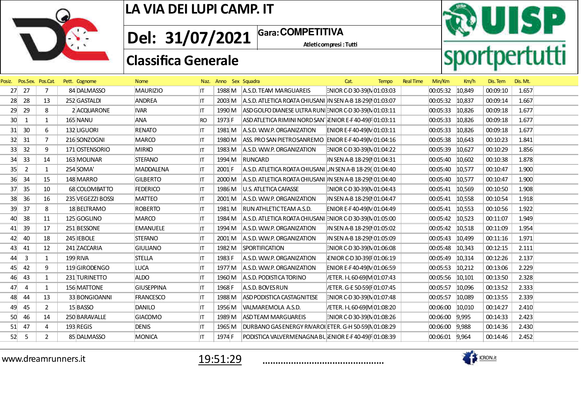

Atleticompresi : Tutti **1** Gara: COMPETITIVA **Del: 31/07/2021**

# **RUISP**<br>sportpertutti

## **Classifica Generale**

| Posiz.          |                | Pos.Sex. Pos.Cat | Pett. Cognome     | <b>Nome</b>       |     | Naz. Anno Sex Squadra |                                                                    | Cat.                        | <b>Tempo</b> | <b>Real Time</b> | Min/Km          | Km/h   | Dis. Tem | Dis. Mt. |  |
|-----------------|----------------|------------------|-------------------|-------------------|-----|-----------------------|--------------------------------------------------------------------|-----------------------------|--------------|------------------|-----------------|--------|----------|----------|--|
| 27              | 27             |                  | 84 DALMASSO       | <b>MAURIZIO</b>   | IT. |                       | 1988 M A.S.D. TEAM MARGUAREIS                                      | ENIOR C-D 30-39(N 01:03:03  |              |                  | 00:05:32 10,849 |        | 00:09:10 | 1.657    |  |
| 28              | 28             | 13               | 252 GASTALDI      | ANDREA            | IT. |                       | 2003 M A.S.D. ATLETICA ROATA CHIUSANI IN SEN A-B 18-29(NO1:03:07   |                             |              |                  | 00:05:32        | 10,837 | 00:09:14 | 1.667    |  |
| 29              | 29             | 8                | 2 ACQUARONE       | <b>IVAR</b>       | IT  | 1990 M                | ASD GOLFO DIANESE ULTRA RUN ENIOR C-D30-39(N 01:03:11              |                             |              |                  | 00:05:33        | 10,826 | 00:09:18 | 1.677    |  |
| 30 <sup>°</sup> | 1              | $\mathbf{1}$     | 165 NANU          | <b>ANA</b>        | RO  | 1973 F                | ASD ATLETICA RIMINI NORD SAN ENIOR E-F40-49(F 01:03:11             |                             |              |                  | 00:05:33        | 10,826 | 00:09:18 | 1.677    |  |
| 31              | 30             | 6                | 132 LIGUORI       | <b>RENATO</b>     | IT. | 1981 M                | A.S.D. W.W.P. ORGANIZATION                                         | ENIOR E-F40-49(N 01:03:11   |              |                  | 00:05:33        | 10,826 | 00:09:18 | 1.677    |  |
| 32              | 31             | $\overline{7}$   | 216 SONZOGNI      | MARCO             | IT. | 1980 M                | ASS. PRO SAN PIETROSANREMO ENIOR E-F40-49(M 01:04:16               |                             |              |                  | 00:05:38        | 10,643 | 00:10:23 | 1.841    |  |
| 33 <sup>5</sup> | 32             | 9                | 171 OSTENSORIO    | <b>MIRKO</b>      | IΤ  | 1983 M                | A.S.D. W.W.P. ORGANIZATION                                         | ENIOR C-D 30-39(N 01:04:22  |              |                  | 00:05:39        | 10,627 | 00:10:29 | 1.856    |  |
| 34              | 33             | 14               | 163 MOLINAR       | <b>STEFANO</b>    | IT  | 1994 M                | RUNCARD                                                            | IN SEN A-B 18-29(NO1:04:31  |              |                  | 00:05:40        | 10,602 | 00:10:38 | 1.878    |  |
| 35              | $\overline{2}$ | $\mathbf{1}$     | 254 SOMA          | <b>MADDALENA</b>  | IT. | $2001$ F              | A.S.D. ATLETICA ROATA CHIUSANI JN SEN A-B 18-29(01:04:40           |                             |              |                  | 00:05:40 10,577 |        | 00:10:47 | 1.900    |  |
| 36              | 34             | 15               | 148 MARRO         | <b>GILBERTO</b>   | IT. | 2000 M                | A.S.D. ATLETICA ROATA CHIUSANI IN SEN A-B 18-29( $\sqrt{01:04:40}$ |                             |              |                  | 00:05:40 10,577 |        | 00:10:47 | 1.900    |  |
| 37              | 35             | 10               | 68 COLOMBATTO     | <b>FEDERICO</b>   | IT  |                       | 1986 M   U.S. ATLETICA CAFASSE                                     | ENIOR C-D 30-39(N 01:04:43  |              |                  | 00:05:41 10,569 |        | 00:10:50 | 1.908    |  |
| 38              | 36             | 16               | 235 VEGEZZI BOSSI | MATTEO            | IT. | 2001 M                | A.S.D. W.W.P. ORGANIZATION                                         | IN SEN A-B 18-29(N 01:04:47 |              |                  | 00:05:41 10,558 |        | 00:10:54 | 1.918    |  |
| 39              | 37             | 8                | 18 BELTRAMO       | <b>ROBERTO</b>    | IT. |                       | 1981 M RUN ATHLETICTEAM A.S.D.                                     | ENIOR E-F40-49(N 01:04:49   |              |                  | 00:05:41 10,553 |        | 00:10:56 | 1.922    |  |
| 40              | 38             | 11               | 125 GOGLINO       | MARCO             | IT. | 1984 M                | $ A.S.D.$ ATLETICA ROATA CHIUSANI ENIOR C-D 30-39(N 01:05:00       |                             |              |                  | 00:05:42 10,523 |        | 00:11:07 | 1.949    |  |
| 41              | 39             | 17               | 251 BESSONE       | <b>EMANUELE</b>   | IT. | 1994 M                | A.S.D. W.W.P. ORGANIZATION                                         | IN SEN A-B 18-29(NO1:05:02  |              |                  | 00:05:42 10,518 |        | 00:11:09 | 1.954    |  |
| 42              | 40             | 18               | 245 IEBOLE        | <b>STEFANO</b>    | IT  | 2001 M                | A.S.D. W.W.P. ORGANIZATION                                         | IN SEN A-B 18-29(NO1:05:09  |              |                  | 00:05:43        | 10,499 | 00:11:16 | 1.971    |  |
| 43              | 41             | 12               | 241 ZACCARIA      | <b>GIULIANO</b>   | IT. | 1982 M                | SPORTIFICATION                                                     | ENIOR C-D 30-39(N 01:06:08  |              |                  | 00:05:48        | 10,343 | 00:12:15 | 2.111    |  |
| 44              | $\overline{3}$ | $\mathbf{1}$     | 199 RIVA          | <b>STELLA</b>     | IT. | 1983 F                | A.S.D. W.W.P. ORGANIZATION                                         | ENIOR C-D30-39(F01:06:19    |              |                  | 00:05:49        | 10,314 | 00:12:26 | 2.137    |  |
| 45              | 42             | 9                | 119 GIRODENGO     | <b>LUCA</b>       | IT. | 1977 M                | A.S.D. W.W.P. ORGANIZATION                                         | ENIOR E-F40-49(N 01:06:59   |              |                  | 00:05:53        | 10,212 | 00:13:06 | 2.229    |  |
| 46              | 43             | $\mathbf{1}$     | 231 TURINETTO     | <b>ALDO</b>       | IT. | 1960 M                | A.S.D. PODISTICA TORINO                                            | /ETER. I-L 60-69(M 01:07:43 |              |                  | 00:05:56        | 10,101 | 00:13:50 | 2.328    |  |
| 47              | 4              | $\mathbf{1}$     | 156 MATTONE       | <b>GIUSEPPINA</b> | ΙT  | 1968 F                | A.S.D. BOVES RUN                                                   | /ETER. G-E 50-59(F 01:07:45 |              |                  | 00:05:57        | 10,096 | 00:13:52 | 2.333    |  |
| 48              | 44             | 13               | 33 BONGIOANNI     | <b>FRANCESCO</b>  | IT. | 1988 M                | <b>ASD PODISTICA CASTAGNITESE</b>                                  | ENIOR C-D 30-39(N 01:07:48  |              |                  | 00:05:57        | 10,089 | 00:13:55 | 2.339    |  |
| 49              | 45             | $\overline{2}$   | 15 BASSO          | <b>DANILO</b>     | IT  | 1956 M                | VALMAREMOLA A.S.D.                                                 | /ETER. I-L 60-69(M 01:08:20 |              |                  | 00:06:00        | 10,010 | 00:14:27 | 2.410    |  |
| 50              | 46             | 14               | 250 BARAVALLE     | <b>GIACOMO</b>    | IT. | 1989 M                | <b>ASD TEAM MARGUAREIS</b>                                         | ENIOR C-D 30-39(N 01:08:26  |              |                  | 00:06:00        | 9,995  | 00:14:33 | 2.423    |  |
| 51              | 47             | 4                | 193 REGIS         | <b>DENIS</b>      | IT. | 1965 M                | DURBANO GAS ENERGY RIVAROI ETER. G-H 50-59(N 01:08:29              |                             |              |                  | 00:06:00        | 9,988  | 00:14:36 | 2.430    |  |
| 52              | -5             | $\mathbf{2}$     | 85 DALMASSO       | MONICA            | ΙT  | 1974 F                | PODISTICA VALVERMENAGNA BUENIOR E-F40-49(F01:08:39                 |                             |              |                  | 00:06:01        | 9,964  | 00:14:46 | 2.452    |  |
|                 |                |                  |                   |                   |     |                       |                                                                    |                             |              |                  |                 |        |          |          |  |

www.dreamrunners.it



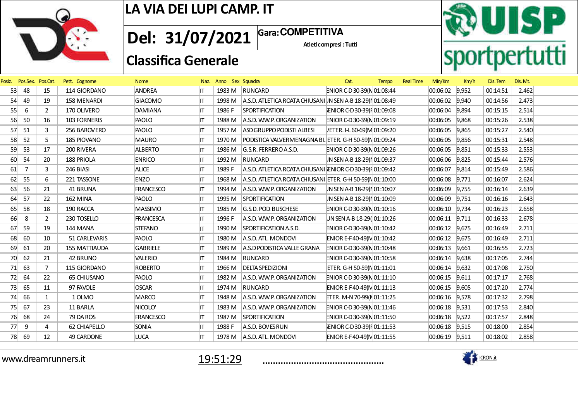

**1** Gara: COMPETITIVA **Del: 31/07/2021**

Atleticompresi : Tutti





| Posiz. | Pos.Sex. Pos.Cat. |                | Pett. Cognome | <b>Nome</b>      |     | Naz. Anno Sex Squadra |                                                           | Cat.                        | <b>Tempo</b> | <b>Real Time</b> | Min/Km            | Km/h  | Dis. Tem | Dis. Mt. |
|--------|-------------------|----------------|---------------|------------------|-----|-----------------------|-----------------------------------------------------------|-----------------------------|--------------|------------------|-------------------|-------|----------|----------|
| 53     | 48                | 15             | 114 GIORDANO  | <b>ANDREA</b>    | IT. |                       | 1983 M RUNCARD                                            | ENIOR C-D 30-39(N 01:08:44  |              |                  | 00:06:02 9,952    |       | 00:14:51 | 2.462    |
| 54     | 49                | 19             | 158 MENARDI   | <b>GIACOMO</b>   | IΤ  | 1998 M                | A.S.D. ATLETICA ROATA CHIUSANI IN SEN A-B 18-29(NO1:08:49 |                             |              |                  | 00:06:02 9,940    |       | 00:14:56 | 2.473    |
| 55     | 6                 | $\overline{2}$ | 170 OLIVERO   | DAMIANA          | IΤ  | 1986 F                | <b>SPORTIFICATION</b>                                     | ENIOR C-D30-39(F01:09:08    |              |                  | 00:06:04          | 9.894 | 00:15:15 | 2.514    |
| 56     | 50                | 16             | 103 FORNERIS  | PAOLO            | IΤ  | 1988 M                | A.S.D. W.W.P. ORGANIZATION                                | ENIOR C-D 30-39(N 01:09:19  |              |                  | 00:06:05          | 9,868 | 00:15:26 | 2.538    |
| 57     | 51                | 3              | 256 BAROVERO  | PAOLO            | IT  | 1957 M                | ASD GRUPPO PODISTI ALBESI                                 | /ETER. I-L 60-69(M 01:09:20 |              |                  | 00:06:05          | 9,865 | 00:15:27 | 2.540    |
| 58     | 52                | 5              | 185 PIOVANO   | <b>MAURO</b>     | IT  | 1970 M                | PODISTICA VALVERMENAGNA BUETER. G-H 50-59(N 01:09:24      |                             |              |                  | 00:06:05 9,856    |       | 00:15:31 | 2.548    |
| 59     | 53                | 17             | 200 RIVERA    | <b>ALBERTO</b>   | IΤ  | 1986 M                | G.S.R. FERREROA.S.D.                                      | ENIOR C-D 30-39(N 01:09:26  |              |                  | 00:06:05 9,851    |       | 00:15:33 | 2.553    |
| 60     | 54                | 20             | 188 PRIOLA    | <b>ENRICO</b>    | IT  | 1992 M                | RUNCARD                                                   | IN SEN A-B 18-29(N 01:09:37 |              |                  | 00:06:06          | 9,825 | 00:15:44 | 2.576    |
| 61     | 7                 | 3              | 246 BIASI     | <b>ALICE</b>     | IΤ  | 1989 F                | A.S.D. ATLETICA ROATA CHIUSANI ENIOR C-D30-39(F01:09:42   |                             |              |                  | 00:06:07 9,814    |       | 00:15:49 | 2.586    |
| 62     | 55                | 6              | 221 TASSONE   | <b>ENZO</b>      | IT  | 1968 M                | A.S.D. ATLETICA ROATA CHIUSANI ETER. G-H 50-59(N 01:10:00 |                             |              |                  | 00:06:08 9,771    |       | 00:16:07 | 2.624    |
| 63     | 56                | 21             | 41 BRUNA      | FRANCESCO        | IΤ  | 1994 M                | A.S.D. W.W.P. ORGANIZATION                                | IN SEN A-B 18-29(N 01:10:07 |              |                  | 00:06:09 9,755    |       | 00:16:14 | 2.639    |
| 64     | 57                | 22             | 162 MINA      | PAOLO            | IT  | 1995 M                | SPORTIFICATION                                            | IN SEN A-B 18-29(N01:10:09  |              |                  | 00:06:09          | 9,751 | 00:16:16 | 2.643    |
| 65     | 58                | 18             | 190 RACCA     | <b>MASSIMO</b>   | IT  | 1985 M                | G.S.D. POD. BUSCHESE                                      | ENIOR C-D30-39(NO1:10:16    |              |                  | 00:06:10 9,734    |       | 00:16:23 | 2.658    |
| 66     | 8                 | $\overline{2}$ | 230 TOSELLO   | <b>FRANCESCA</b> | IT. | 1996 F                | A.S.D. W.W.P. ORGANIZATION                                | JN SEN A-B 18-29( 01:10:26  |              |                  | 00:06:11 9,711    |       | 00:16:33 | 2.678    |
| 67     | 59                | 19             | 144 MANA      | <b>STEFANO</b>   | IT  | 1990 M                | SPORTIFICATION A.S.D.                                     | ENIOR C-D 30-39(N 01:10:42  |              |                  | 00:06:12 9,675    |       | 00:16:49 | 2.711    |
| 68     | 60                | 10             | 51 CARLEVARIS | PAOLO            | IT  | 1980 M                | A.S.D. ATL. MONDOVI                                       | ENIOR E-F40-49(N 01:10:42   |              |                  | 00:06:12 9,675    |       | 00:16:49 | 2.711    |
| 69     | 61                | 20             | 155 MATTIAUDA | <b>GABRIELE</b>  | IT  | 1989 M                | A.S.D PODISTICA VALLE GRANA                               | ENIOR C-D 30-39(N 01:10:48  |              |                  | 00:06:13          | 9,661 | 00:16:55 | 2.723    |
| 70     | 62                | 21             | 42 BRUNO      | VALERIO          | IT  | 1984 M                | <b>RUNCARD</b>                                            | ENIOR C-D 30-39(N 01:10:58  |              |                  | 00:06:14          | 9,638 | 00:17:05 | 2.744    |
| 71     | 63                | $\overline{7}$ | 115 GIORDANO  | <b>ROBERTO</b>   | IT  | 1966 M                | <b>DELTA SPEDIZIONI</b>                                   | ETER. G-H 50-59(N 01:11:01  |              |                  | $ 00:06:14$ 9,632 |       | 00:17:08 | 2.750    |
| 72     | 64                | 22             | 65 CHIUSANO   | PAOLO            | IΤ  | 1982 M                | A.S.D. W.W.P. ORGANIZATION                                | ENIOR C-D 30-39(N 01:11:10  |              |                  | 00:06:15 9,611    |       | 00:17:17 | 2.768    |
| 73     | 65                | 11             | 97 FAVOLE     | <b>OSCAR</b>     | IΤ  | 1974 M                | RUNCARD                                                   | ENIOR E-F40-49(N 01:11:13   |              |                  | 00:06:15 9,605    |       | 00:17:20 | 2.774    |
| 74     | 66                | 1              | 1 OLMO        | <b>MARCO</b>     | IT  | 1948 M                | A.S.D. W.W.P. ORGANIZATION                                | TER. M-N 70-99(N 01:11:25   |              |                  | 00:06:16 9,578    |       | 00:17:32 | 2.798    |
| 75     | 67                | 23             | 11 BARLA      | NICOLO'          | IT  | 1983 M                | A.S.D. W.W.P. ORGANIZATION                                | ENIOR C-D 30-39(N 01:11:46  |              |                  | $ 00:06:18$ 9,531 |       | 00:17:53 | 2.840    |
| 76     | 68                | 24             | 79 DA ROS     | FRANCESCO        | IT  | 1987 M                | SPORTIFICATION                                            | ENIOR C-D 30-39(N 01:11:50  |              |                  | 00:06:18 9,522    |       | 00:17:57 | 2.848    |
| 77     | 9                 | 4              | 62 CHIAPELLO  | SONIA            | IΤ  | 1988 F                | A.S.D. BOVESRUN                                           | ENIOR C-D30-39(FO1:11:53    |              |                  | 00:06:18 9,515    |       | 00:18:00 | 2.854    |
| 78     | 69                | 12             | 49 CARDONE    | <b>LUCA</b>      | IT. | 1978 M                | A.S.D. ATL. MONDOVI                                       | ENIOR E-F40-49(N 01:11:55   |              |                  | 00:06:19 9,511    |       | 00:18:02 | 2.858    |
|        |                   |                |               |                  |     |                       |                                                           |                             |              |                  |                   |       |          |          |

www.dreamrunners.it



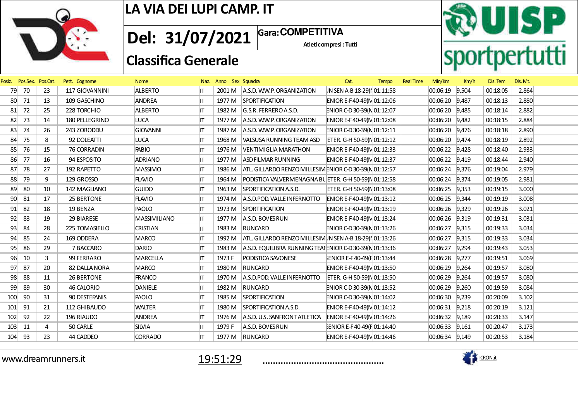

Atleticompresi : Tutti **Gara: Del: 31/07/2021 COMPETITIVA**

**RUISP**<br>sportpertutti

## **Classifica Generale**

| Posiz. | Pos.Sex. Pos.Cat. |    | Pett. Cognome  | <b>Nome</b>     | Naz. | Anno Sex Squadra |                                                                  | Cat.                       | <b>Tempo</b> | <b>Real Time</b> | Min/Km             | Km/h  | Dis. Tem | Dis. Mt. |
|--------|-------------------|----|----------------|-----------------|------|------------------|------------------------------------------------------------------|----------------------------|--------------|------------------|--------------------|-------|----------|----------|
| 79     | 70                | 23 | 117 GIOVANNINI | <b>ALBERTO</b>  | IT.  |                  | 2001 M A.S.D. W.W.P. ORGANIZATION                                | IN SEN A-B 18-29(NO1:11:58 |              |                  | 00:06:19 9,504     |       | 00:18:05 | 2.864    |
| 80     | 71                | 13 | 109 GASCHINO   | ANDREA          | ITI  |                  | 1977 M SPORTIFICATION                                            | ENIOR E-F40-49(N 01:12:06  |              |                  | 00:06:20 9,487     |       | 00:18:13 | 2.880    |
| 81     | 72                | 25 | 228 TORCHIO    | <b>ALBERTO</b>  | IT   |                  | 1982 M G.S.R. FERREROA.S.D.                                      | ENIOR C-D 30-39(N 01:12:07 |              |                  | 00:06:20 9,485     |       | 00:18:14 | 2.882    |
| 82     | 73                | 14 | 180 PELLEGRINO | LUCA            | IT.  |                  | 1977 M A.S.D. W.W.P. ORGANIZATION                                | ENIOR E-F40-49(N 01:12:08  |              |                  | 00:06:20 9,482     |       | 00:18:15 | 2.884    |
| 83     | 74                | 26 | 243 ZORODDU    | <b>GIOVANNI</b> | ITI  |                  | 1987 M A.S.D. W.W.P. ORGANIZATION                                | ENIOR C-D 30-39(N 01:12:11 |              |                  | 00:06:20 9,476     |       | 00:18:18 | 2.890    |
| 84     | 75                | 8  | 92 DOLEATTI    | <b>LUCA</b>     | IT.  |                  | 1968 M VALSUSA RUNNING TEAM ASD                                  | ETER. G-H 50-59(N 01:12:12 |              |                  | 00:06:20 9,474     |       | 00:18:19 | 2.892    |
| 85     | 76                | 15 | 76 CORRADIN    | <b>FABIO</b>    | IT.  |                  | 1976 M   VENTIMIGLIA MARATHON                                    | ENIOR E-F40-49(N 01:12:33  |              |                  | $ 00:06:22 $ 9,428 |       | 00:18:40 | 2.933    |
| 86     | 77                | 16 | 94 ESPOSITO    | <b>ADRIANO</b>  | IT.  | 1977 M           | <b>ASD FILMAR RUNNING</b>                                        | ENIOR E-F40-49(N 01:12:37  |              |                  | 00:06:22 9,419     |       | 00:18:44 | 2.940    |
| 87     | 78                | 27 | 192 RAPETTO    | <b>MASSIMO</b>  | IT.  |                  | 1986 M   ATL. GILLARDO RENZO MILLESIM ENIOR C-D 30-39(N 01:12:57 |                            |              |                  | 00:06:24 9,376     |       | 00:19:04 | 2.979    |
| 88     | 79                | 9  | 129 GROSSO     | <b>FLAVIO</b>   | IT.  |                  | 1964 M   PODISTICA VALVERMENAGNA BU ETER. G-H 50-59(N 01:12:58   |                            |              |                  | 00:06:24 9,374     |       | 00:19:05 | 2.981    |
| 89     | 80                | 10 | 142 MAGLIANO   | <b>GUIDO</b>    | ITI  |                  | 1963 M SPORTIFICATION A.S.D.                                     | ETER. G-H 50-59(N 01:13:08 |              |                  | $ 00:06:25$ 9,353  |       | 00:19:15 | 3.000    |
| 90     | 81                | 17 | 25 BERTONE     | <b>FLAVIO</b>   | IT.  |                  | 1974 M A.S.D.POD VALLE INFERNOTTO                                | ENIOR E-F40-49(N 01:13:12  |              |                  | 00:06:25 9,344     |       | 00:19:19 | 3.008    |
| 91     | 82                | 18 | 19BENZA        | PAOLO           | IT.  |                  | 1973 M SPORTIFICATION                                            | ENIOR E-F40-49(N 01:13:19  |              |                  | 00:06:26 9,329     |       | 00:19:26 | 3.021    |
| 92     | 83                | 19 | 29 BIARESE     | MASSIMILIANO    | IT.  |                  | 1977 M A.S.D. BOVES RUN                                          | ENIOR E-F40-49(N 01:13:24  |              |                  | 00:06:26 9,319     |       | 00:19:31 | 3.031    |
| 93     | 84                | 28 | 225 TOMASIELLO | <b>CRISTIAN</b> | IT.  |                  | 1983 M RUNCARD                                                   | ENIOR C-D 30-39(N 01:13:26 |              |                  | 00:06:27 9,315     |       | 00:19:33 | 3.034    |
| 94     | 85                | 24 | 169 ODDERA     | MARCO           | IT.  |                  | 1992 M   ATL. GILLARDO RENZO MILLESIM IN SEN A-B 18-29(NO1:13:26 |                            |              |                  | 00:06:27           | 9,315 | 00:19:33 | 3.034    |
| 95     | 86                | 29 | 7BACCARO       | DARIO           | IT.  | 1983 M           | A.S.D. EQUILIBRA RUNNING TEAI ENIOR C-D 30-39( $N$ 01:13:36      |                            |              |                  | 00:06:27           | 9,294 | 00:19:43 | 3.053    |
| 96     | 10                | 3  | 99 FERRARO     | MARCELLA        | ITI  | 1973 F           | PODISTICA SAVONESE                                               | ENIOR E-F40-49(F 01:13:44  |              |                  | $ 00:06:28$ 9,277  |       | 00:19:51 | 3.069    |
| 97     | 87                | 20 | 82 DALLA NORA  | <b>MARCO</b>    | ITI  |                  | 1980 M RUNCARD                                                   | ENIOR E-F40-49(N 01:13:50  |              |                  | $ 00:06:29$ 9,264  |       | 00:19:57 | 3.080    |
| 98     | 88                | 11 | 26 BERTONE     | FRANCO          | IΤ   | 1970 M           | A.S.D.POD. VALLE INFERNOTTO                                      | ETER. G-H 50-59(N 01:13:50 |              |                  | 00:06:29           | 9,264 | 00:19:57 | 3.080    |
| 99     | 89                | 30 | 46 CALORIO     | <b>DANIELE</b>  | IT.  |                  | 1982 M RUNCARD                                                   | ENIOR C-D 30-39(N 01:13:52 |              |                  | 00:06:29           | 9,260 | 00:19:59 | 3.084    |
| 100    | 90                | 31 | 90 DESTEFANIS  | PAOLO           | ITI  |                  | 1985 M SPORTIFICATION                                            | ENIOR C-D 30-39(N 01:14:02 |              |                  | $ 00:06:30 $ 9,239 |       | 00:20:09 | 3.102    |
| 101    | 91                | 21 | 112 GHIBAUDO   | <b>WALTER</b>   | ITI  |                  | 1980 M SPORTIFICATION A.S.D.                                     | ENIOR E-F40-49(N 01:14:12  |              |                  | $ 00:06:31 $ 9,218 |       | 00:20:19 | 3.121    |
| 102    | 92                | 22 | 196 RIAUDO     | ANDREA          | IT.  |                  | 1976 M A.S.D. U.S. SANFRONT ATLETICA                             | ENIOR E-F40-49(N 01:14:26  |              |                  | 00:06:32 9,189     |       | 00:20:33 | 3.147    |
| 103    | 11                | 4  | 50 CARLE       | <b>SILVIA</b>   | ΙT   | 1979 F           | A.S.D. BOVES RUN                                                 | ENIOR E-F40-49(F01:14:40   |              |                  | 00:06:33 9,161     |       | 00:20:47 | 3.173    |
| 104    | 93                | 23 | 44 CADDEO      | <b>CORRADO</b>  | ITI  |                  | 1977 M RUNCARD                                                   | ENIOR E-F40-49(N 01:14:46  |              |                  | 00:06:34 9,149     |       | 00:20:53 | 3.184    |
|        |                   |    |                |                 |      |                  |                                                                  |                            |              |                  |                    |       |          |          |

www.dreamrunners.it



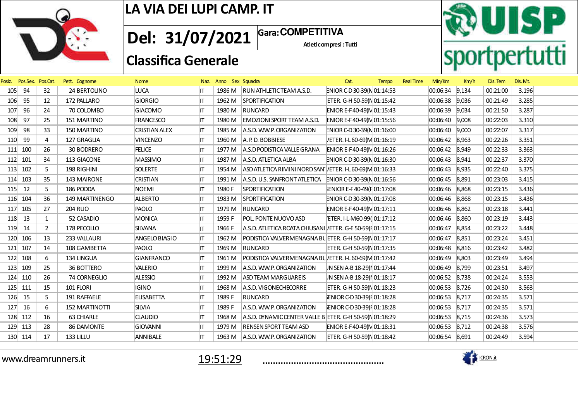

Atleticompresi : Tutti **Gara: Del: 31/07/2021 COMPETITIVA**

**RUISP**<br>sportpertutti

## **Classifica Generale**

| Posiz. | Pos.Sex. Pos.Cat. |                | Pett. Cognome  | <b>Nome</b>          | Naz. | Anno Sex Squadra |                                                               | Cat.                        | <b>Tempo</b> | <b>Real Time</b> | Min/Km         | Km/h  | Dis. Tem | Dis. Mt. |
|--------|-------------------|----------------|----------------|----------------------|------|------------------|---------------------------------------------------------------|-----------------------------|--------------|------------------|----------------|-------|----------|----------|
| 105    | 94                | 32             | 24 BERTOLINO   | LUCA                 | ΙT   |                  | 1986 M RUN ATHLETIC TEAM A.S.D.                               | ENIOR C-D 30-39(N 01:14:53  |              |                  | 00:06:34 9,134 |       | 00:21:00 | 3.196    |
| 106    | 95                | 12             | 172 PALLARO    | <b>GIORGIO</b>       | IT.  | 1962 M           | SPORTIFICATION                                                | ETER. G-H 50-59(N 01:15:42  |              |                  | 00:06:38 9,036 |       | 00:21:49 | 3.285    |
| 107    | 96                | 24             | 70 COLOMBO     | <b>GIACOMO</b>       | IΤ   |                  | 1980 M RUNCARD                                                | ENIOR E-F40-49(N 01:15:43   |              |                  | 00:06:39 9,034 |       | 00:21:50 | 3.287    |
| 108    | 97                | 25             | 151 MARTINO    | <b>FRANCESCO</b>     | IT.  | 1980 M           | <b>EMOZIONI SPORT TEAM A.S.D.</b>                             | ENIOR E-F40-49(N 01:15:56   |              |                  | 00:06:40 9,008 |       | 00:22:03 | 3.310    |
| 109    | 98                | 33             | 150 MARTINO    | <b>CRISTIAN ALEX</b> | IT.  |                  | 1985 M A.S.D. W.W.P. ORGANIZATION                             | ENIOR C-D 30-39(N 01:16:00  |              |                  | 00:06:40 9,000 |       | 00:22:07 | 3.317    |
| 110    | 99                | 4              | 127 GRAGLIA    | <b>VINCENZO</b>      | IΤ   |                  | 1960 M $\vert$ A. P. D. BOBBIESE                              | /ETER. I-L 60-69(M 01:16:19 |              |                  | 00:06:42 8,963 |       | 00:22:26 | 3.351    |
|        | 111 100           | 26             | 30 BODRERO     | <b>FELICE</b>        | IT   |                  | 1977 M A.S.D PODISTICA VALLE GRANA                            | ENIOR E-F40-49(N 01:16:26   |              |                  | 00:06:42 8,949 |       | 00:22:33 | 3.363    |
| 112    | 101               | 34             | 113 GIACONE    | <b>MASSIMO</b>       | IΤ   | 1987 M           | A.S.D. ATLETICA ALBA                                          | ENIOR C-D 30-39(N 01:16:30  |              |                  | 00:06:43 8,941 |       | 00:22:37 | 3.370    |
|        | 113 102           | 5.             | 198 RIGHINI    | <b>SOLERTE</b>       | IT.  | 1954 M           | ASD ATLETICA RIMINI NORD SAN / ETER. I-L 60-69(M 01:16:33     |                             |              |                  | 00:06:43 8,935 |       | 00:22:40 | 3.375    |
| 114    | 103               | 35             | 143 MAIRONE    | <b>CRISTIAN</b>      | IT.  | 1991 M           | $ A.S.D. U.S.$ SANFRONT ATLETICA $ NIOR C-D 30-39(N)01:16:56$ |                             |              |                  | 00:06:45 8,891 |       | 00:23:03 | 3.415    |
| 115    | 12                | 5              | 186 PODDA      | <b>NOEMI</b>         | IT   | 1980 F           | <b>SPORTIFICATION</b>                                         | ENIOR E-F40-49(F 01:17:08   |              |                  | 00:06:46 8,868 |       | 00:23:15 | 3.436    |
| 116    | 104               | 36             | 149 MARTINENGO | <b>ALBERTO</b>       | IT.  | 1983 M           | <b>SPORTIFICATION</b>                                         | ENIOR C-D 30-39(N 01:17:08  |              |                  | 00:06:46 8,868 |       | 00:23:15 | 3.436    |
|        | 117 105           | 27             | 204 RUO        | PAOLO                | ΙT   | 1979 M           | RUNCARD                                                       | ENIOR E-F40-49(N 01:17:11   |              |                  | 00:06:46 8,862 |       | 00:23:18 | 3.441    |
| 118    | 13                | $\mathbf{1}$   | 52 CASADIO     | MONICA               | IΤ   | 1959 F           | POL. PONTE NUOVO ASD                                          | ETER. I-L-M60-99(01:17:12   |              |                  | 00:06:46 8,860 |       | 00:23:19 | 3.443    |
| 119    | 14                | $\overline{2}$ | 178 PECOLLO    | <b>SILVANA</b>       | IT   | 1966 F           | A.S.D. ATLETICA ROATA CHIUSANI / ETER. G-E 50-59(F 01:17:15   |                             |              |                  | 00:06:47 8,854 |       | 00:23:22 | 3.448    |
| 120    | 106               | 13             | 233 VALLAURI   | ANGELO BIAGIO        | llT. | 1962 M           | PODISTICA VALVERMENAGNA BUETER. G-H 50-59(N 01:17:17          |                             |              |                  | 00:06:47       | 8,851 | 00:23:24 | 3.451    |
|        | 121 107           | 14             | 108 GAMBETTA   | PAOLO                | IT.  |                  | 1969 M RUNCARD                                                | ETER. G-H 50-59(N 01:17:35  |              |                  | 00:06:48 8,816 |       | 00:23:42 | 3.482    |
| 122    | 108               | 6              | 134 LINGUA     | <b>GIANFRANCO</b>    | IΤ   | 1961 M           | PODISTICA VALVERMENAGNA BL / ETER. I-L 60-69(M 01:17:42       |                             |              |                  | 00:06:49 8,803 |       | 00:23:49 | 3.494    |
| 123    | 109               | 25             | 36 BOTTERO     | <b>VALERIO</b>       | ΙT   |                  | 1999 M A.S.D. W.W.P. ORGANIZATION                             | JN SEN A-B 18-29(N 01:17:44 |              |                  | 00:06:49 8,799 |       | 00:23:51 | 3.497    |
| 124    | 110               | 26             | 74 CORNEGLIO   | <b>ALESSIO</b>       | IT   | 1992 M           | ASD TEAM MARGUAREIS                                           | IN SEN A-B 18-29(NO1:18:17  |              |                  | 00:06:52 8,738 |       | 00:24:24 | 3.553    |
|        | 125 111           | 15             | 101 FLORI      | <b>IGINO</b>         | ΙT   | 1968 M           | A.S.D. VIGONECHECORRE                                         | ETER. G-H 50-59(N 01:18:23  |              |                  | 00:06:53 8,726 |       | 00:24:30 | 3.563    |
| 126    | 15                | 5              | 191 RAFFAELE   | <b>ELISABETTA</b>    | IΤ   | 1989 F           | RUNCARD                                                       | ENIOR C-D30-39(F01:18:28    |              |                  | 00:06:53 8,717 |       | 00:24:35 | 3.571    |
| 127    | 16                | 6              | 152 MARTINOTTI | <b>SILVIA</b>        | IT   | 1989 F           | A.S.D. W.W.P. ORGANIZATION                                    | ENIOR C-D30-39(F01:18:28    |              |                  | 00:06:53 8,717 |       | 00:24:35 | 3.571    |
| 128    | 112               | 16             | 63 CHIARLE     | <b>CLAUDIO</b>       | IT   | 1968 M           | A.S.D. DYNAMIC CENTER VALLE B ETER. G-H 50-59( $N$ 01:18:29   |                             |              |                  | 00:06:53 8,715 |       | 00:24:36 | 3.573    |
|        | 129 113           | 28             | 86 DAMONTE     | <b>GIOVANNI</b>      | IT   | 1979 M           | <b>RENSEN SPORT TEAM ASD</b>                                  | ENIOR E-F40-49(N 01:18:31   |              |                  | 00:06:53 8,712 |       | 00:24:38 | 3.576    |
|        | 130 114           | 17             | $133$ LILLU    | ANNIBALE             | ΙT   | 1963 M           | A.S.D. W.W.P. ORGANIZATION                                    | ETER. G-H 50-59(N 01:18:42  |              |                  | 00:06:54 8,691 |       | 00:24:49 | 3.594    |
|        |                   |                |                |                      |      |                  |                                                               |                             |              |                  |                |       |          |          |

www.dreamrunners.it



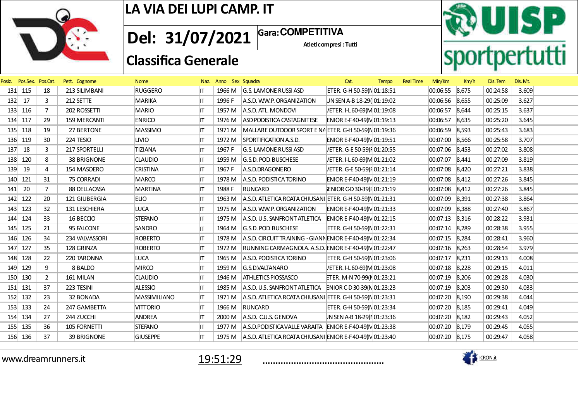

Atleticompresi : Tutti **1** Gara: COMPETITIVA **Del: 31/07/2021**

**RUISP**<br>sportpertutti

## **Classifica Generale**

| Posiz. | Pos.Sex. Pos.Cat. |                | Pett. Cognome  | <b>Nome</b>     |     | Naz. Anno Sex Squadra |                                                                                        | Cat.                        | <b>Tempo</b> | <b>Real Time</b> | Min/Km         | Km/h | Dis. Tem | Dis. Mt. |  |
|--------|-------------------|----------------|----------------|-----------------|-----|-----------------------|----------------------------------------------------------------------------------------|-----------------------------|--------------|------------------|----------------|------|----------|----------|--|
|        | 131 115           | 18             | 213 SILIMBANI  | <b>RUGGERO</b>  | ΙT  |                       | 1966 M G.S. LAMONE RUSSI ASD                                                           | ETER. G-H 50-59(N 01:18:51  |              |                  | 00:06:55 8,675 |      | 00:24:58 | 3.609    |  |
| 132    | 17                | 3              | $212$ SETTE    | MARIKA          | ΙT  | 1996 F                | A.S.D. W.W.P. ORGANIZATION                                                             | JN SEN A-B 18-29(01:19:02   |              |                  | 00:06:56 8,655 |      | 00:25:09 | 3.627    |  |
|        | 133 116           | $\overline{7}$ | 202 ROSSETTI   | <b>MARIO</b>    | IΤ  | 1957 M                | A.S.D. ATL. MONDOVI                                                                    | /ETER. I-L 60-69(M 01:19:08 |              |                  | 00:06:57 8,644 |      | 00:25:15 | 3.637    |  |
|        | 134 117           | 29             | 159 MERCANTI   | <b>ENRICO</b>   | IΤ  | 1976 M                | ASD PODISTICA CASTAGNITESE                                                             | ENIOR E-F40-49(N 01:19:13   |              |                  | 00:06:57 8,635 |      | 00:25:20 | 3.645    |  |
|        | 135 118           | 19             | 27 BERTONE     | <b>MASSIMO</b>  | ΙT  | 1971 M                | MALLARE OUTDOOR SPORT E NA ETER. G-H 50-59(N 01:19:36                                  |                             |              |                  | 00:06:59 8,593 |      | 00:25:43 | 3.683    |  |
|        | 136 119           | 30             | 224 TESIO      | <b>LIVIO</b>    | ΙT  | 1972 M                | SPORTIFICATION A.S.D.                                                                  | ENIOR E-F40-49(N 01:19:51   |              |                  | 00:07:00 8,566 |      | 00:25:58 | 3.707    |  |
| 137    | 18                | 3              | 217 SPORTELLI  | <b>TIZIANA</b>  | IT  | 1967 F                | G.S. LAMONE RUSSI ASD                                                                  | /ETER. G-E 50-59(F 01:20:55 |              |                  | 00:07:06 8,453 |      | 00:27:02 | 3.808    |  |
| 138    | 120               | 8              | 38 BRIGNONE    | <b>CLAUDIO</b>  | IT. | 1959 M                | G.S.D. POD. BUSCHESE                                                                   | /ETER. I-L 60-69(M 01:21:02 |              |                  | 00:07:07 8,441 |      | 00:27:09 | 3.819    |  |
| 139    | 19                | 4              | 154 MASOERO    | <b>CRISTINA</b> | ΙT  | 1967 F                | A.S.D.DRAGONERO                                                                        | /ETER. G-E 50-59(F 01:21:14 |              |                  | 00:07:08 8,420 |      | 00:27:21 | 3.838    |  |
| 140    | 121               | 31             | 75 CORRADI     | MARCO           | ΙT  | 1978 M                | A.S.D. PODISTICA TORINO                                                                | ENIOR E-F40-49(N 01:21:19   |              |                  | 00:07:08 8,412 |      | 00:27:26 | 3.845    |  |
| 141    | 20                | $\overline{7}$ | 88 DELLACASA   | <b>MARTINA</b>  | ΙT  | 1988 F                | RUNCARD                                                                                | ENIOR C-D30-39(F01:21:19    |              |                  | 00:07:08 8,412 |      | 00:27:26 | 3.845    |  |
|        | 142 122           | 20             | 121 GIUBERGIA  | <b>ELIO</b>     | IT. | 1963 M                | A.S.D. ATLETICA ROATA CHIUSANI ETER. G-H 50-59(N 01:21:31                              |                             |              |                  | 00:07:09 8,391 |      | 00:27:38 | 3.864    |  |
|        | 143 123           | 32             | 131 LESCHIERA  | LUCA            | ΙT  |                       | 1975 M A.S.D. W.W.P. ORGANIZATION                                                      | ENIOR E-F40-49(NO1:21:33    |              |                  | 00:07:09 8,388 |      | 00:27:40 | 3.867    |  |
|        | 144 124           | 33             | 16 BECCIO      | <b>STEFANO</b>  | IT. |                       | 1975 M A.S.D. U.S. SANFRONT ATLETICA ENIOR E-F40-49(M 01:22:15                         |                             |              |                  | 00:07:13 8,316 |      | 00:28:22 | 3.931    |  |
|        | 145 125           | 21             | 95 FALCONE     | <b>SANDRO</b>   | ΙT  | 1964 M                | G.S.D. POD. BUSCHESE                                                                   | ETER. G-H 50-59(N 01:22:31  |              |                  | 00:07:14 8,289 |      | 00:28:38 | 3.955    |  |
|        | 146 126           | 34             | 234 VALVASSORI | <b>ROBERTO</b>  | IΤ  | 1978 M                | $ A.S.D. CRCUIT TR AINING - GIANN ENIOR E-F 40-49(N)01:22:34$                          |                             |              |                  | 00:07:15 8,284 |      | 00:28:41 | 3.960    |  |
|        | 147 127           | 35             | 128 GRINZA     | <b>ROBERTO</b>  | IT. | 1972 M                | RUNNING CARMAGNOLA. A.S.D. ENIOR E-F40-49(N 01:22:47                                   |                             |              |                  | 00:07:16 8,263 |      | 00:28:54 | 3.979    |  |
|        | 148 128           | 22             | 220 TARONNA    | LUCA            | ΙT  | 1965 M                | A.S.D. PODISTICA TORINO                                                                | ETER. G-H 50-59(N 01:23:06  |              |                  | 00:07:17 8,231 |      | 00:29:13 | 4.008    |  |
|        | 149 129           | 9              | 8BALDO         | <b>MIRCO</b>    | ΙT  | 1959 M                | G.S.D.VALTANARO                                                                        | /ETER. I-L 60-69(M 01:23:08 |              |                  | 00:07:18 8,228 |      | 00:29:15 | 4.011    |  |
|        | 150 130           | $\overline{2}$ | 161 MILAN      | <b>CLAUDIO</b>  | ΙT  | 1946 M                | <b>ATHLETICS PIOSSASCO</b>                                                             | FTER. M-N 70-99(N 01:23:21  |              |                  | 00:07:19 8,206 |      | 00:29:28 | 4.030    |  |
|        | 151 131           | 37             | 223 TESINI     | <b>ALESSIO</b>  | IT. | 1985 M                | $A.S.D. U.S.$ SANFRONT ATLETICA $\left  \frac{1}{2}N \right  OR C-D 30-39(N) 01:23:23$ |                             |              |                  | 00:07:19 8,203 |      | 00:29:30 | 4.033    |  |
|        | 152 132           | 23             | 32 BONADA      | MASSIMILIANO    | IT. |                       | 1971 M   A.S.D. ATLETICA ROATA CHIUSANI ETER. G-H 50-59(N 01:23:31                     |                             |              |                  | 00:07:20 8,190 |      | 00:29:38 | 4.044    |  |
|        | 153 133           | 24             | 247 GAMBETTA   | <b>VITTORIO</b> | IΤ  | 1966 M                | RUNCARD                                                                                | ETER. G-H 50-59(N 01:23:34  |              |                  | 00:07:20 8,185 |      | 00:29:41 | 4.049    |  |
|        | 154 134           | 27             | 244 ZUCCHI     | <b>ANDREA</b>   |     |                       | 2000 M A.S.D. C.U.S. GENOVA                                                            | IN SEN A-B 18-29(NO1:23:36  |              |                  | 00:07:20 8,182 |      | 00:29:43 | 4.052    |  |
|        | 155 135           | 36             | 105 FORNETTI   | <b>STEFANO</b>  | IT. | 1977 M                | A.S.D. PODISTICA VALLE VARAITA ENIOR E-F40-49( $N$ 01:23:38                            |                             |              |                  | 00:07:20 8,179 |      | 00:29:45 | 4.055    |  |
|        | 156 136           | 37             | 39 BRIGNONE    | <b>GIUSEPPE</b> | IΤ  |                       | 1975 M A.S.D. ATLETICA ROATA CHIUSANI ENIOR E-F40-49(M 01:23:40                        |                             |              |                  | 00:07:20 8,175 |      | 00:29:47 | 4.058    |  |
|        |                   |                |                |                 |     |                       |                                                                                        |                             |              |                  |                |      |          |          |  |

www.dreamrunners.it



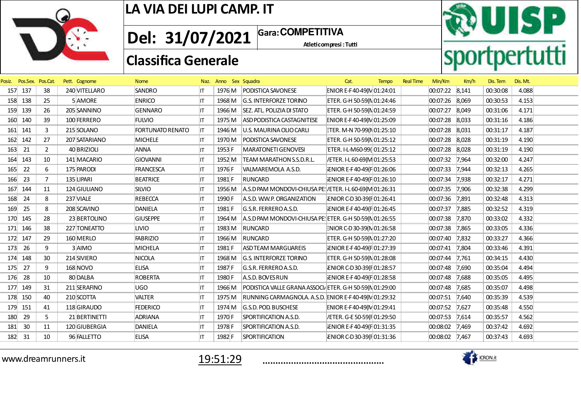

**1** Gara: COMPETITIVA **Del: 31/07/2021**

Atleticompresi : Tutti

## **Classifica Generale**



| Posiz. | Pos.Sex. Pos.Cat. |                | Pett. Cognome | <b>Nome</b>             |     | Naz. Anno Sex Squadra |                                                          | Cat.                        | <b>Tempo</b> | <b>Real Time</b> | Min/Km            | Km/h  | Dis. Tem | Dis. Mt. |  |
|--------|-------------------|----------------|---------------|-------------------------|-----|-----------------------|----------------------------------------------------------|-----------------------------|--------------|------------------|-------------------|-------|----------|----------|--|
| 157    | 137               | 38             | 240 VITELLARO | <b>SANDRO</b>           | IT. | 1976 M                | PODISTICA SAVONESE                                       | ENIOR E-F40-49(N 01:24:01   |              |                  | 00:07:22 8,141    |       | 00:30:08 | 4.088    |  |
|        | 158 138           | 25             | 5 AMORE       | <b>ENRICO</b>           | IT. | 1968 M                | <b>G.S. INTERFORZE TORINO</b>                            | ETER. G-H 50-59(N 01:24:46  |              |                  | 00:07:26 8,069    |       | 00:30:53 | 4.153    |  |
| 159    | 139               | 26             | 205 SANNINO   | <b>GENNARO</b>          | IT. | 1966 M                | SEZ. ATL. POLIZIA DI STATO                               | ETER. G-H 50-59(N 01:24:59  |              |                  | 00:07:27 8,049    |       | 00:31:06 | 4.171    |  |
| 160    | 140               | 39             | 100 FERRERO   | <b>FULVIO</b>           | IT. | 1975 M                | ASD PODISTICA CASTAGNITESE                               | ENIOR E-F40-49(N 01:25:09   |              |                  | 00:07:28 8,033    |       | 00:31:16 | 4.186    |  |
| 161    | 141               | 3              | 215 SOLANO    | <b>FORTUNATO RENATO</b> | IT. | 1946 M                | U.S. MAURINA OLIO CARLI                                  | ETER. M-N 70-99(N 01:25:10  |              |                  | 00:07:28          | 8,031 | 00:31:17 | 4.187    |  |
|        | 162 142           | 27             | 207 SATARIANO | <b>MICHELE</b>          | IT. | 1970 M                | PODISTICA SAVONESE                                       | ETER. G-H 50-59(N 01:25:12  |              |                  | 00:07:28 8,028    |       | 00:31:19 | 4.190    |  |
| 163    | 21                | $\overline{2}$ | 40 BRIZIOLI   | ANNA                    | IT. | 1953 F                | MARATONETI GENOVESI                                      | ETER. I-L-M60-99(01:25:12   |              |                  | 00:07:28 8,028    |       | 00:31:19 | 4.190    |  |
| 164    | 143               | 10             | 141 MACARIO   | <b>GIOVANNI</b>         | IT  | 1952 M                | <b>TEAM MARATHON S.S.D.R.L.</b>                          | /ETER. I-L 60-69(M 01:25:53 |              |                  | 00:07:32 7,964    |       | 00:32:00 | 4.247    |  |
| 165    | 22                | 6              | 175 PARODI    | <b>FRANCESCA</b>        | IT. | 1976 F                | VALMAREMOLA A.S.D.                                       | ENIOR E-F40-49(F 01:26:06   |              |                  | 00:07:33          | 7,944 | 00:32:13 | 4.265    |  |
| 166    | 23                | $\overline{7}$ | 135 LIPARI    | <b>BEATRICE</b>         | IT  | 1981 F                | <b>RUNCARD</b>                                           | ENIOR E-F40-49(F 01:26:10   |              |                  | 00:07:34          | 7,938 | 00:32:17 | 4.271    |  |
| 167    | 144               | 11             | 124 GIULIANO  | <b>SILVIO</b>           | IT. | 1956 M                | A.S.D PAM MONDOVI-CHIUSA PE: /ETER. I-L 60-69(M 01:26:31 |                             |              |                  | $ 00:07:35$ 7,906 |       | 00:32:38 | 4.299    |  |
| 168    | 24                | 8              | 237 VIALE     | <b>REBECCA</b>          | IT. | 1990 F                | A.S.D. W.W.P. ORGANIZATION                               | ENIOR C-D30-39(F01:26:41    |              |                  | 00:07:36 7,891    |       | 00:32:48 | 4.313    |  |
| 169    | 25                | 8              | 208 SCAVINO   | DANIELA                 | IT. | 1981 F                | G.S.R. FERREROA.S.D.                                     | ENIOR E-F40-49(F 01:26:45   |              |                  | 00:07:37          | 7,885 | 00:32:52 | 4.319    |  |
|        | 170 145           | 28             | 23 BERTOLINO  | <b>GIUSEPPE</b>         | IT. | 1964 M                | A.S.D PAM MONDOVI-CHIUSA PE: ETER. G-H 50-59(N 01:26:55  |                             |              |                  | 00:07:38          | 7,870 | 00:33:02 | 4.332    |  |
| 171    | 146               | 38             | 227 TONEATTO  | <b>LIVIO</b>            | IT. | 1983 M                | RUNCARD                                                  | ENIOR C-D 30-39(N 01:26:58  |              |                  | 00:07:38 7,865    |       | 00:33:05 | 4.336    |  |
| 172    | 147               | 29             | 160 MERLO     | <b>FABRIZIO</b>         | ΙT  | 1966 M                | RUNCARD                                                  | ETER. G-H 50-59(N 01:27:20  |              |                  | 00:07:40 7,832    |       | 00:33:27 | 4.366    |  |
| 173    | 26                | 9              | 3AIMO         | MICHELA                 | IT. | 1981 F                | <b>ASD TEAM MARGUAREIS</b>                               | ENIOR E-F40-49(F01:27:39    |              |                  | 00:07:41          | 7,804 | 00:33:46 | 4.391    |  |
| 174    | 148               | 30             | 214 SIVIERO   | NICOLA                  | IT. | 1968 M                | <b>G.S. INTERFORZE TORINO</b>                            | ETER. G-H 50-59(N 01:28:08  |              |                  | 00:07:44          | 7,761 | 00:34:15 | 4.430    |  |
| 175    | 27                | 9              | 168 NOVO      | <b>ELISA</b>            | IT. | 1987 F                | G.S.R. FERREROA.S.D.                                     | ENIOR C-D30-39(F01:28:57    |              |                  | 00:07:48          | 7,690 | 00:35:04 | 4.494    |  |
| 176    | 28                | 10             | 80 DALBA      | <b>ROBERTA</b>          | IT. | 1980 F                | A.S.D. BOVES RUN                                         | ENIOR E-F40-49(F 01:28:58   |              |                  | 00:07:48          | 7,688 | 00:35:05 | 4.495    |  |
| 177    | 149               | 31             | 211 SERAFINO  | UGO                     | IT  | 1966 M                | PODISTICA VALLE GRANA ASSOCI, ETER. G-H 50-59(N 01:29:00 |                             |              |                  | 00:07:48          | 7,685 | 00:35:07 | 4.498    |  |
| 178    | 150               | 40             | 210 SCOTTA    | <b>VALTER</b>           | IT  | 1975 M                | RUNNING CARMAGNOLA. A.S.D. ENIOR E-F40-49(N 01:29:32     |                             |              |                  | 00:07:51          | 7,640 | 00:35:39 | 4.539    |  |
|        | 179 151           | 41             | 118 GIRAUDO   | <b>FEDERICO</b>         | IT. | 1974 M                | G.S.D. POD. BUSCHESE                                     | ENIOR E-F40-49(N 01:29:41   |              |                  | 00:07:52 7,627    |       | 00:35:48 | 4.550    |  |
| 180    | 29                | 5              | 21 BERTINETTI | ADRIANA                 | IT. | 1970 F                | SPORTIFICATION A.S.D.                                    | /ETER. G-E 50-59(F 01:29:50 |              |                  | 00:07:53 7,614    |       | 00:35:57 | 4.562    |  |
| 181    | 30                | 11             | 120 GIUBERGIA | DANIELA                 | IT  | 1978 F                | SPORTIFICATION A.S.D.                                    | ENIOR E-F40-49(F01:31:35    |              |                  | 00:08:02 7,469    |       | 00:37:42 | 4.692    |  |
| 182    | 31                | 10             | 96 FALLETTO   | <b>ELISA</b>            | IT  | 1982 F                | <b>SPORTIFICATION</b>                                    | ENIOR C-D30-39(F01:31:36    |              |                  | 00:08:02 7,467    |       | 00:37:43 | 4.693    |  |
|        |                   |                |               |                         |     |                       |                                                          |                             |              |                  |                   |       |          |          |  |

www.dreamrunners.it